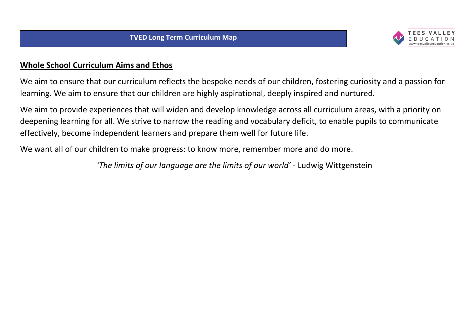

# **Whole School Curriculum Aims and Ethos**

We aim to ensure that our curriculum reflects the bespoke needs of our children, fostering curiosity and a passion for learning. We aim to ensure that our children are highly aspirational, deeply inspired and nurtured.

We aim to provide experiences that will widen and develop knowledge across all curriculum areas, with a priority on deepening learning for all. We strive to narrow the reading and vocabulary deficit, to enable pupils to communicate effectively, become independent learners and prepare them well for future life.

We want all of our children to make progress: to know more, remember more and do more.

*'The limits of our language are the limits of our world'* - Ludwig Wittgenstein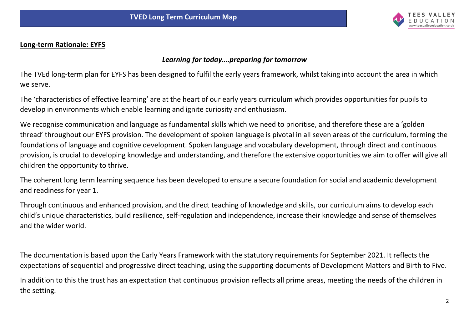

## **Long-term Rationale: EYFS**

## *Learning for today….preparing for tomorrow*

The TVEd long-term plan for EYFS has been designed to fulfil the early years framework, whilst taking into account the area in which we serve.

The 'characteristics of effective learning' are at the heart of our early years curriculum which provides opportunities for pupils to develop in environments which enable learning and ignite curiosity and enthusiasm.

We recognise communication and language as fundamental skills which we need to prioritise, and therefore these are a 'golden thread' throughout our EYFS provision. The development of spoken language is pivotal in all seven areas of the curriculum, forming the foundations of language and cognitive development. Spoken language and vocabulary development, through direct and continuous provision, is crucial to developing knowledge and understanding, and therefore the extensive opportunities we aim to offer will give all children the opportunity to thrive.

The coherent long term learning sequence has been developed to ensure a secure foundation for social and academic development and readiness for year 1.

Through continuous and enhanced provision, and the direct teaching of knowledge and skills, our curriculum aims to develop each child's unique characteristics, build resilience, self-regulation and independence, increase their knowledge and sense of themselves and the wider world.

The documentation is based upon the Early Years Framework with the statutory requirements for September 2021. It reflects the expectations of sequential and progressive direct teaching, using the supporting documents of Development Matters and Birth to Five. In addition to this the trust has an expectation that continuous provision reflects all prime areas, meeting the needs of the children in the setting.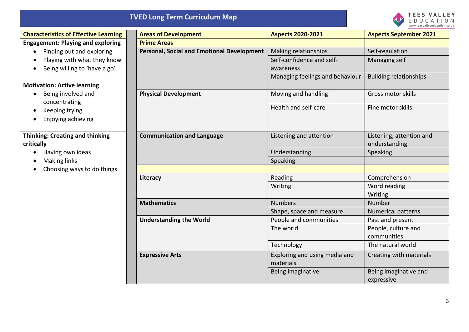|  |  | <b>TVED Long Term Curriculum Map</b> |  |  |
|--|--|--------------------------------------|--|--|
|--|--|--------------------------------------|--|--|



| <b>Characteristics of Effective Learning</b>         | <b>Areas of Development</b>                       | <b>Aspects 2020-2021</b>                   | <b>Aspects September 2021</b>             |
|------------------------------------------------------|---------------------------------------------------|--------------------------------------------|-------------------------------------------|
| <b>Engagement: Playing and exploring</b>             | <b>Prime Areas</b>                                |                                            |                                           |
| Finding out and exploring<br>$\bullet$               | <b>Personal, Social and Emotional Development</b> | Making relationships                       | Self-regulation                           |
| Playing with what they know                          |                                                   | Self-confidence and self-                  | Managing self                             |
| Being willing to 'have a go'                         |                                                   | awareness                                  |                                           |
|                                                      |                                                   | Managing feelings and behaviour            | <b>Building relationships</b>             |
| <b>Motivation: Active learning</b>                   |                                                   |                                            |                                           |
| Being involved and<br>concentrating                  | <b>Physical Development</b>                       | Moving and handling                        | Gross motor skills                        |
| Keeping trying                                       |                                                   | Health and self-care                       | Fine motor skills                         |
| Enjoying achieving                                   |                                                   |                                            |                                           |
|                                                      |                                                   |                                            |                                           |
| <b>Thinking: Creating and thinking</b><br>critically | <b>Communication and Language</b>                 | Listening and attention                    | Listening, attention and<br>understanding |
| Having own ideas                                     |                                                   | Understanding                              | Speaking                                  |
| Making links                                         |                                                   | Speaking                                   |                                           |
| Choosing ways to do things                           |                                                   |                                            |                                           |
|                                                      | Literacy                                          | Reading                                    | Comprehension                             |
|                                                      |                                                   | Writing                                    | Word reading                              |
|                                                      |                                                   |                                            | Writing                                   |
|                                                      | <b>Mathematics</b>                                | <b>Numbers</b>                             | Number                                    |
|                                                      |                                                   | Shape, space and measure                   | Numerical patterns                        |
|                                                      | <b>Understanding the World</b>                    | People and communities                     | Past and present                          |
|                                                      |                                                   | The world                                  | People, culture and                       |
|                                                      |                                                   |                                            | communities                               |
|                                                      |                                                   | Technology                                 | The natural world                         |
|                                                      | <b>Expressive Arts</b>                            | Exploring and using media and<br>materials | Creating with materials                   |
|                                                      |                                                   | Being imaginative                          | Being imaginative and<br>expressive       |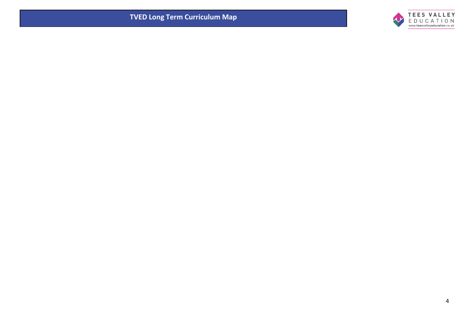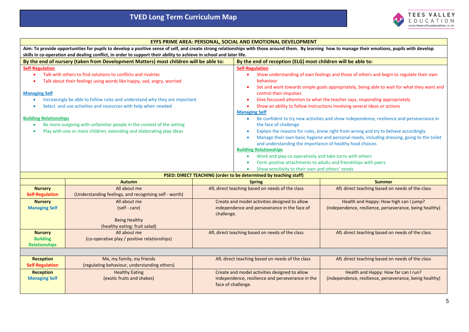

| EYFS PRIME AREA: PERSONAL, SOCIAL AND EMOTIONAL DEVELOPMENT                                                                                                                                                                                                                                                                                                                                                                                                                                                                                                                   |                                                                                                                                                                                                              |                                                                                                                                                                                                                                                                                                                                                                                                                                                                                                                                                                                                                                                     |                                                                                                                                                                                                                                                                                                                     |                                                                                                                                                              |  |
|-------------------------------------------------------------------------------------------------------------------------------------------------------------------------------------------------------------------------------------------------------------------------------------------------------------------------------------------------------------------------------------------------------------------------------------------------------------------------------------------------------------------------------------------------------------------------------|--------------------------------------------------------------------------------------------------------------------------------------------------------------------------------------------------------------|-----------------------------------------------------------------------------------------------------------------------------------------------------------------------------------------------------------------------------------------------------------------------------------------------------------------------------------------------------------------------------------------------------------------------------------------------------------------------------------------------------------------------------------------------------------------------------------------------------------------------------------------------------|---------------------------------------------------------------------------------------------------------------------------------------------------------------------------------------------------------------------------------------------------------------------------------------------------------------------|--------------------------------------------------------------------------------------------------------------------------------------------------------------|--|
|                                                                                                                                                                                                                                                                                                                                                                                                                                                                                                                                                                               | Aim: To provide opportunities for pupils to develop a positive sense of self, and create strong relationships with those around them. By learning how to manage their emotions, pupils with develop          |                                                                                                                                                                                                                                                                                                                                                                                                                                                                                                                                                                                                                                                     |                                                                                                                                                                                                                                                                                                                     |                                                                                                                                                              |  |
|                                                                                                                                                                                                                                                                                                                                                                                                                                                                                                                                                                               | skills in co-operation and dealing conflict, in order to support their ability to achieve in school and later life.<br>By the end of nursery (taken from Development Matters) most children will be able to: |                                                                                                                                                                                                                                                                                                                                                                                                                                                                                                                                                                                                                                                     | By the end of reception (ELG) most children will be able to:                                                                                                                                                                                                                                                        |                                                                                                                                                              |  |
| <b>Self-Regulation</b>                                                                                                                                                                                                                                                                                                                                                                                                                                                                                                                                                        |                                                                                                                                                                                                              |                                                                                                                                                                                                                                                                                                                                                                                                                                                                                                                                                                                                                                                     | <b>Self-Regulation</b>                                                                                                                                                                                                                                                                                              |                                                                                                                                                              |  |
| Talk with others to find solutions to conflicts and rivalries<br>$\bullet$<br>Talk about their feelings using words like happy, sad, angry, worried<br>$\bullet$<br><b>Managing Self</b><br>Increasingly be able to follow rules and understand why they are important<br>$\bullet$<br>Select and use activities and resources with help when needed<br>$\bullet$<br><b>Building Relationships</b><br>Be more outgoing with unfamiliar people in the context of the setting<br>$\bullet$<br>Play with one or more children, extending and elaborating play ideas<br>$\bullet$ |                                                                                                                                                                                                              | Show understanding of own feelings and those of others and begin to regulate their own<br>behaviour<br>Set and work towards simple goals appropriately, being able to wait for what they want and<br>$\bullet$<br>control their impulses<br>Give focussed attention to what the teacher says, responding appropriately<br>Show an ability to follow instructions involving several ideas or actions<br><b>Managing Self</b><br>Be confident to try new activities and show independence, resilience and perseverance in<br>$\bullet$<br>the face of challenge<br>Explain the reasons for rules, know right from wrong and try to behave accordingly |                                                                                                                                                                                                                                                                                                                     |                                                                                                                                                              |  |
|                                                                                                                                                                                                                                                                                                                                                                                                                                                                                                                                                                               |                                                                                                                                                                                                              |                                                                                                                                                                                                                                                                                                                                                                                                                                                                                                                                                                                                                                                     | and understanding the importance of healthy food choices.<br><b>Building Relationships</b><br>Work and play co-operatively and take turns with others<br>$\bullet$<br>$\bullet$<br>Show sensitivity to their own and others' needs<br>$\bullet$<br>PSED: DIRECT TEACHING (order to be determined by teaching staff) | Manage their own basic hygiene and personal needs, including dressing, going to the toilet<br>Form positive attachments to adults and friendships with peers |  |
|                                                                                                                                                                                                                                                                                                                                                                                                                                                                                                                                                                               | <b>Autumn</b>                                                                                                                                                                                                |                                                                                                                                                                                                                                                                                                                                                                                                                                                                                                                                                                                                                                                     | <b>Spring</b>                                                                                                                                                                                                                                                                                                       | <b>Summer</b>                                                                                                                                                |  |
| <b>Nursery</b><br><b>Self-Regulation</b>                                                                                                                                                                                                                                                                                                                                                                                                                                                                                                                                      | All about me<br>(Understanding feelings, and recognising self - worth)                                                                                                                                       |                                                                                                                                                                                                                                                                                                                                                                                                                                                                                                                                                                                                                                                     | AfL direct teaching based on needs of the class                                                                                                                                                                                                                                                                     | AfL direct teaching based on needs of the class                                                                                                              |  |
| <b>Nursery</b><br><b>Managing Self</b>                                                                                                                                                                                                                                                                                                                                                                                                                                                                                                                                        | All about me<br>(self - care)<br><b>Being Healthy</b><br>(healthy eating: fruit salad)                                                                                                                       | Create and model activities designed to allow<br>independence and perseverance in the face of<br>challenge.                                                                                                                                                                                                                                                                                                                                                                                                                                                                                                                                         |                                                                                                                                                                                                                                                                                                                     | Health and Happy: How high can I jump?<br>(independence, resilience, perseverance, being healthy)                                                            |  |
| <b>Nursery</b><br><b>Building</b><br><b>Relationships</b>                                                                                                                                                                                                                                                                                                                                                                                                                                                                                                                     | All about me<br>(co-operative play / positive relationships)                                                                                                                                                 |                                                                                                                                                                                                                                                                                                                                                                                                                                                                                                                                                                                                                                                     | AfL direct teaching based on needs of the class                                                                                                                                                                                                                                                                     | AfL direct teaching based on needs of the class                                                                                                              |  |
|                                                                                                                                                                                                                                                                                                                                                                                                                                                                                                                                                                               |                                                                                                                                                                                                              |                                                                                                                                                                                                                                                                                                                                                                                                                                                                                                                                                                                                                                                     |                                                                                                                                                                                                                                                                                                                     |                                                                                                                                                              |  |
| <b>Reception</b><br><b>Self-Regulation</b>                                                                                                                                                                                                                                                                                                                                                                                                                                                                                                                                    | Me, my family, my friends<br>(regulating behaviour, understanding others)                                                                                                                                    |                                                                                                                                                                                                                                                                                                                                                                                                                                                                                                                                                                                                                                                     | AfL direct teaching based on needs of the class                                                                                                                                                                                                                                                                     | AfL direct teaching based on needs of the class                                                                                                              |  |
| <b>Reception</b><br><b>Managing Self</b>                                                                                                                                                                                                                                                                                                                                                                                                                                                                                                                                      | <b>Healthy Eating</b><br>(exotic fruits and shakes)                                                                                                                                                          | face of challenge.                                                                                                                                                                                                                                                                                                                                                                                                                                                                                                                                                                                                                                  | Create and model activities designed to allow<br>independence, resilience and perseverance in the                                                                                                                                                                                                                   | Health and Happy: How far can I run?<br>(independence, resilience, perseverance, being healthy)                                                              |  |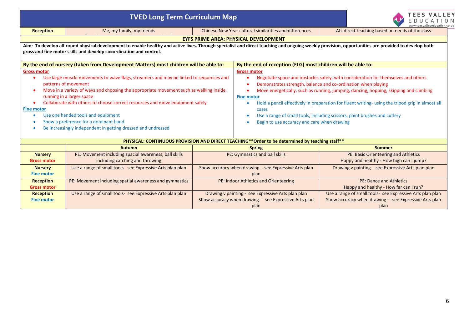| <b>TVED Long Term Curriculum Map</b>                                                                                                                                                                                                                                                                                                                                                                                                                                                                                                                                    |                                                                                          |                                                               |                                                                                                                                                                                                                                                                                                                                                                                                                                                                                                                                                         | <b>EES VALLE</b><br>www.teesvalleveducation.co.u |                                                                                                                            |  |  |
|-------------------------------------------------------------------------------------------------------------------------------------------------------------------------------------------------------------------------------------------------------------------------------------------------------------------------------------------------------------------------------------------------------------------------------------------------------------------------------------------------------------------------------------------------------------------------|------------------------------------------------------------------------------------------|---------------------------------------------------------------|---------------------------------------------------------------------------------------------------------------------------------------------------------------------------------------------------------------------------------------------------------------------------------------------------------------------------------------------------------------------------------------------------------------------------------------------------------------------------------------------------------------------------------------------------------|--------------------------------------------------|----------------------------------------------------------------------------------------------------------------------------|--|--|
| <b>Reception</b>                                                                                                                                                                                                                                                                                                                                                                                                                                                                                                                                                        | Me, my family, my friends                                                                |                                                               | Chinese New Year cultural similarities and differences                                                                                                                                                                                                                                                                                                                                                                                                                                                                                                  |                                                  | AfL direct teaching based on needs of the class                                                                            |  |  |
|                                                                                                                                                                                                                                                                                                                                                                                                                                                                                                                                                                         | <b>EYFS PRIME AREA: PHYSICAL DEVELOPMENT</b>                                             |                                                               |                                                                                                                                                                                                                                                                                                                                                                                                                                                                                                                                                         |                                                  |                                                                                                                            |  |  |
| Aim: To develop all-round physical development to enable healthy and active lives. Through specialist and direct teaching and ongoing weekly provision, opportunities are provided to develop both<br>gross and fine motor skills and develop co=ordination and control.                                                                                                                                                                                                                                                                                                |                                                                                          |                                                               |                                                                                                                                                                                                                                                                                                                                                                                                                                                                                                                                                         |                                                  |                                                                                                                            |  |  |
|                                                                                                                                                                                                                                                                                                                                                                                                                                                                                                                                                                         | By the end of nursery (taken from Development Matters) most children will be able to:    |                                                               | By the end of reception (ELG) most children will be able to:                                                                                                                                                                                                                                                                                                                                                                                                                                                                                            |                                                  |                                                                                                                            |  |  |
| <b>Gross motor</b><br>Use large muscle movements to wave flags, streamers and may be linked to sequences and<br>$\bullet$<br>patterns of movement<br>Move in a variety of ways and choosing the appropriate movement such as walking inside,<br>$\bullet$<br>running in a larger space<br>Collaborate with others to choose correct resources and move equipment safely<br>$\bullet$<br><b>Fine motor</b><br>Use one handed tools and equipment<br>۰<br>Show a preference for a dominant hand<br>۰<br>Be Increasingly independent in getting dressed and undressed<br>۰ |                                                                                          |                                                               | <b>Gross motor</b><br>Negotiate space and obstacles safely, with consideration for themselves and others<br>$\bullet$<br>Demonstrates strength, balance and co-ordination when playing<br>Move energetically, such as running, jumping, dancing, hopping, skipping and climbing<br><b>Fine motor</b><br>Hold a pencil effectively in preparation for fluent writing- using the tripod grip in almost all<br>۰<br>cases<br>Use a range of small tools, including scissors, paint brushes and cutlery<br>Begin to use accuracy and care when drawing<br>٠ |                                                  |                                                                                                                            |  |  |
|                                                                                                                                                                                                                                                                                                                                                                                                                                                                                                                                                                         |                                                                                          |                                                               | PHYSICAL: CONTINUOUS PROVISION AND DIRECT TEACHING**Order to be determined by teaching staff**                                                                                                                                                                                                                                                                                                                                                                                                                                                          |                                                  |                                                                                                                            |  |  |
|                                                                                                                                                                                                                                                                                                                                                                                                                                                                                                                                                                         | <b>Autumn</b>                                                                            |                                                               | <b>Spring</b>                                                                                                                                                                                                                                                                                                                                                                                                                                                                                                                                           |                                                  | <b>Summer</b>                                                                                                              |  |  |
| <b>Nursery</b><br><b>Gross motor</b>                                                                                                                                                                                                                                                                                                                                                                                                                                                                                                                                    | PE: Movement including spacial awareness, ball skills<br>including catching and throwing | PE: Gymnastics and ball skills                                |                                                                                                                                                                                                                                                                                                                                                                                                                                                                                                                                                         |                                                  | PE: Basic Orienteering and Athletics<br>Happy and healthy - How high can I jump?                                           |  |  |
| <b>Nursery</b><br><b>Fine motor</b>                                                                                                                                                                                                                                                                                                                                                                                                                                                                                                                                     | Use a range of small tools- see Expressive Arts plan plan                                | Show accuracy when drawing - see Expressive Arts plan<br>plan |                                                                                                                                                                                                                                                                                                                                                                                                                                                                                                                                                         |                                                  | Drawing v painting - see Expressive Arts plan plan                                                                         |  |  |
| <b>Reception</b><br><b>Gross motor</b>                                                                                                                                                                                                                                                                                                                                                                                                                                                                                                                                  | PE: Movement including spatial awareness and gymnastics                                  | PE: Indoor Athletics and Orienteering                         |                                                                                                                                                                                                                                                                                                                                                                                                                                                                                                                                                         |                                                  | <b>PE: Dance and Athletics</b><br>Happy and healthy - How far can I run?                                                   |  |  |
| <b>Reception</b><br><b>Fine motor</b>                                                                                                                                                                                                                                                                                                                                                                                                                                                                                                                                   | Use a range of small tools- see Expressive Arts plan plan                                |                                                               | Drawing v painting - see Expressive Arts plan plan<br>Show accuracy when drawing - see Expressive Arts plan<br>plan                                                                                                                                                                                                                                                                                                                                                                                                                                     |                                                  | Use a range of small tools- see Expressive Arts plan plan<br>Show accuracy when drawing - see Expressive Arts plan<br>plan |  |  |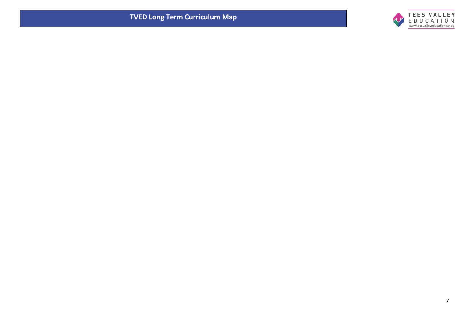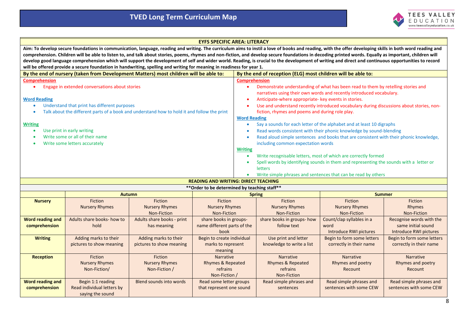

|                                                                                  | <b>EYFS SPECIFIC AREA: LITERACY</b>                                                                                                                                                                                                                                                                                                                                                                                 |                                             |                                               |                                                               |                                                              |                                                                                                                                                                                                     |                                     |
|----------------------------------------------------------------------------------|---------------------------------------------------------------------------------------------------------------------------------------------------------------------------------------------------------------------------------------------------------------------------------------------------------------------------------------------------------------------------------------------------------------------|---------------------------------------------|-----------------------------------------------|---------------------------------------------------------------|--------------------------------------------------------------|-----------------------------------------------------------------------------------------------------------------------------------------------------------------------------------------------------|-------------------------------------|
|                                                                                  | Aim: To develop secure foundations in communication, language, reading and writing. The curriculum aims to instil a love of books and reading, with the offer developing skills in both word reading and<br>comprehension. Children will be able to listen to, and talk about stories, poems, rhymes and non-fiction, and develop secure foundations in decoding printed words. Equally as important, children will |                                             |                                               |                                                               |                                                              |                                                                                                                                                                                                     |                                     |
|                                                                                  |                                                                                                                                                                                                                                                                                                                                                                                                                     |                                             |                                               |                                                               |                                                              | develop good language comprehension which will support the development of self and wider world. Reading, is crucial to the development of writing and direct and continuous opportunities to record |                                     |
|                                                                                  | will be offered provide a secure foundation in handwriting, spelling and writing for meaning in readiness for year 1.<br>By the end of nursery (taken from Development Matters) most children will be able to:                                                                                                                                                                                                      |                                             |                                               |                                                               | By the end of reception (ELG) most children will be able to: |                                                                                                                                                                                                     |                                     |
| <b>Comprehension</b>                                                             |                                                                                                                                                                                                                                                                                                                                                                                                                     |                                             |                                               | <b>Comprehension</b>                                          |                                                              |                                                                                                                                                                                                     |                                     |
| $\bullet$                                                                        | Engage in extended conversations about stories                                                                                                                                                                                                                                                                                                                                                                      |                                             |                                               |                                                               |                                                              | Demonstrate understanding of what has been read to them by retelling stories and<br>narratives using their own words and recently introduced vocabulary.                                            |                                     |
| <b>Word Reading</b>                                                              |                                                                                                                                                                                                                                                                                                                                                                                                                     |                                             |                                               |                                                               | Anticipate-where appropriate- key events in stories.         |                                                                                                                                                                                                     |                                     |
| $\bullet$                                                                        | Understand that print has different purposes                                                                                                                                                                                                                                                                                                                                                                        |                                             |                                               |                                                               |                                                              | Use and understand recently introduced vocabulary during discussions about stories, non-                                                                                                            |                                     |
| $\bullet$                                                                        | Talk about the different parts of a book and understand how to hold it and follow the print                                                                                                                                                                                                                                                                                                                         |                                             |                                               |                                                               | fiction, rhymes and poems and during role play.              |                                                                                                                                                                                                     |                                     |
|                                                                                  |                                                                                                                                                                                                                                                                                                                                                                                                                     |                                             |                                               | <b>Word Reading</b>                                           |                                                              |                                                                                                                                                                                                     |                                     |
| <b>Writing</b>                                                                   |                                                                                                                                                                                                                                                                                                                                                                                                                     |                                             |                                               |                                                               |                                                              | Say a sounds for each letter of the alphabet and at least 10 digraphs                                                                                                                               |                                     |
| $\bullet$                                                                        | Use print in early writing                                                                                                                                                                                                                                                                                                                                                                                          |                                             |                                               |                                                               |                                                              | Read words consistent with their phonic knowledge by sound-blending                                                                                                                                 |                                     |
| $\bullet$                                                                        | Write some or all of their name                                                                                                                                                                                                                                                                                                                                                                                     |                                             |                                               | $\bullet$                                                     |                                                              | Read aloud simple sentences and books that are consistent with their phonic knowledge,                                                                                                              |                                     |
| Write some letters accurately<br>including common expectation words<br>$\bullet$ |                                                                                                                                                                                                                                                                                                                                                                                                                     |                                             |                                               |                                                               |                                                              |                                                                                                                                                                                                     |                                     |
| <b>Writing</b><br>Write recognisable letters, most of which are correctly formed |                                                                                                                                                                                                                                                                                                                                                                                                                     |                                             |                                               |                                                               |                                                              |                                                                                                                                                                                                     |                                     |
|                                                                                  | Spell words by identifying sounds in them and representing the sounds with a letter or<br>$\bullet$                                                                                                                                                                                                                                                                                                                 |                                             |                                               |                                                               |                                                              |                                                                                                                                                                                                     |                                     |
|                                                                                  |                                                                                                                                                                                                                                                                                                                                                                                                                     |                                             |                                               |                                                               | <b>letters</b>                                               |                                                                                                                                                                                                     |                                     |
|                                                                                  |                                                                                                                                                                                                                                                                                                                                                                                                                     |                                             |                                               | Write simple phrases and sentences that can be read by others |                                                              |                                                                                                                                                                                                     |                                     |
|                                                                                  |                                                                                                                                                                                                                                                                                                                                                                                                                     |                                             | <b>READING AND WRITING: DIRECT TEACHING</b>   |                                                               |                                                              |                                                                                                                                                                                                     |                                     |
|                                                                                  |                                                                                                                                                                                                                                                                                                                                                                                                                     |                                             | ** Order to be determined by teaching staff** |                                                               |                                                              |                                                                                                                                                                                                     |                                     |
|                                                                                  | <b>Autumn</b>                                                                                                                                                                                                                                                                                                                                                                                                       |                                             |                                               | <b>Spring</b>                                                 |                                                              |                                                                                                                                                                                                     | <b>Summer</b>                       |
| <b>Nursery</b>                                                                   | Fiction                                                                                                                                                                                                                                                                                                                                                                                                             | Fiction                                     | Fiction                                       |                                                               | Fiction                                                      | <b>Fiction</b>                                                                                                                                                                                      | <b>Fiction</b>                      |
|                                                                                  | <b>Nursery Rhymes</b>                                                                                                                                                                                                                                                                                                                                                                                               | <b>Nursery Rhymes</b><br><b>Non-Fiction</b> | <b>Nursery Rhymes</b><br>Non-Fiction          |                                                               | <b>Nursery Rhymes</b><br><b>Non-Fiction</b>                  | <b>Nursery Rhymes</b><br><b>Non-Fiction</b>                                                                                                                                                         | Rhymes<br><b>Non-Fiction</b>        |
| <b>Word reading and</b>                                                          | Adults share books- how to                                                                                                                                                                                                                                                                                                                                                                                          | Adults share books - print                  | share books in groups-                        |                                                               | share books in groups- how                                   | Count/clap syllables in a                                                                                                                                                                           | Recognise words with the            |
| comprehension                                                                    | hold                                                                                                                                                                                                                                                                                                                                                                                                                | has meaning                                 | name different parts of the                   |                                                               | follow text                                                  | word                                                                                                                                                                                                | same initial sound                  |
|                                                                                  |                                                                                                                                                                                                                                                                                                                                                                                                                     |                                             | book                                          |                                                               |                                                              | <b>Introduce RWI pictures</b>                                                                                                                                                                       | Introduce RWI pictures              |
| <b>Writing</b>                                                                   | Adding marks to their                                                                                                                                                                                                                                                                                                                                                                                               | Adding marks to their                       | Begin to create individual                    |                                                               | Use print and letter                                         | Begin to form some letters                                                                                                                                                                          | Begin to form some letters          |
|                                                                                  | pictures to show meaning                                                                                                                                                                                                                                                                                                                                                                                            | pictures to show meaning                    | marks to represent                            |                                                               | knowledge to write a list                                    | correctly in their name                                                                                                                                                                             | correctly in their name             |
|                                                                                  |                                                                                                                                                                                                                                                                                                                                                                                                                     |                                             | meaning                                       |                                                               |                                                              |                                                                                                                                                                                                     |                                     |
| <b>Reception</b>                                                                 | <b>Fiction</b>                                                                                                                                                                                                                                                                                                                                                                                                      | <b>Fiction</b>                              | <b>Narrative</b>                              |                                                               | <b>Narrative</b>                                             | <b>Narrative</b>                                                                                                                                                                                    | <b>Narrative</b>                    |
|                                                                                  | <b>Nursery Rhymes</b><br>Non-Fiction/                                                                                                                                                                                                                                                                                                                                                                               | <b>Nursery Rhymes</b><br>Non-Fiction /      | <b>Rhymes &amp; Repeated</b><br>refrains      |                                                               | <b>Rhymes &amp; Repeated</b><br>refrains                     | Rhymes and poetry<br>Recount                                                                                                                                                                        | <b>Rhymes and poetry</b><br>Recount |
|                                                                                  |                                                                                                                                                                                                                                                                                                                                                                                                                     |                                             | Non-Fiction /                                 |                                                               | <b>Non-Fiction</b>                                           |                                                                                                                                                                                                     |                                     |
| <b>Word reading and</b>                                                          | Begin 1:1 reading                                                                                                                                                                                                                                                                                                                                                                                                   | Blend sounds into words                     | Read some letter groups                       |                                                               | Read simple phrases and                                      | Read simple phrases and                                                                                                                                                                             | Read simple phrases and             |
| comprehension                                                                    | Read individual letters by                                                                                                                                                                                                                                                                                                                                                                                          |                                             | that represent one sound                      |                                                               | sentences                                                    | sentences with some CEW                                                                                                                                                                             | sentences with some CEW             |
|                                                                                  | saying the sound                                                                                                                                                                                                                                                                                                                                                                                                    |                                             |                                               |                                                               |                                                              |                                                                                                                                                                                                     |                                     |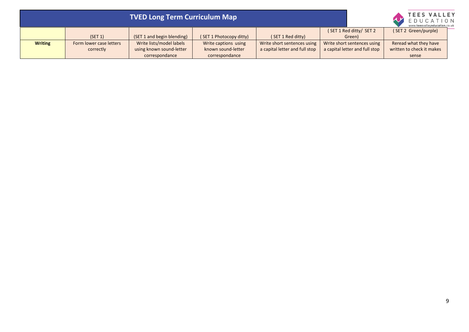| TVED Long Term Curriculum Map |                         |                            |                         |                                |                                | <b>TEES VALLEY</b><br>EDUCATION<br>www.teesvalleyeducation.co.uk |
|-------------------------------|-------------------------|----------------------------|-------------------------|--------------------------------|--------------------------------|------------------------------------------------------------------|
|                               |                         |                            |                         |                                | (SET 1 Red ditty/ SET 2        | (SET 2 Green/purple)                                             |
|                               | (SET 1)                 | (SET 1 and begin blending) | (SET 1 Photocopy ditty) | (SET 1 Red ditty)              | Green)                         |                                                                  |
| <b>Writing</b>                | Form lower case letters | Write lists/model labels   | Write captions using    | Write short sentences using    | Write short sentences using    | Reread what they have                                            |
|                               | correctly               | using known sound-letter   | known sound-letter      | a capital letter and full stop | a capital letter and full stop | written to check it makes                                        |
|                               |                         | correspondance             | correspondance          |                                |                                | sense                                                            |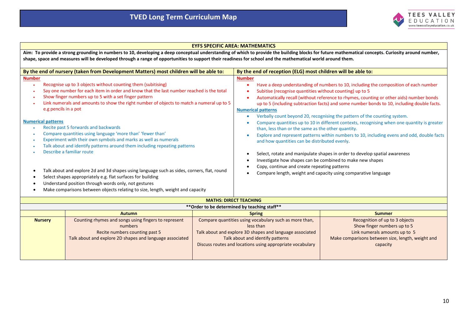

|                                                                                                                                                                                                                                                                                                                                                                  | <b>EYFS SPECIFIC AREA: MATHEMATICS</b>                                                                                                                                                                                                                                                                                                                                                                                                                                                                                                                                                                                                                                                                                                                                                                                                                                                                  |                                                                                                                                                                     |                                                                                                                                                                                                                                                               |                                                                                                                                                                                                                                                                                                                                                                                                                                                                                                                                                                                                                                                                                                                                                                      |  |
|------------------------------------------------------------------------------------------------------------------------------------------------------------------------------------------------------------------------------------------------------------------------------------------------------------------------------------------------------------------|---------------------------------------------------------------------------------------------------------------------------------------------------------------------------------------------------------------------------------------------------------------------------------------------------------------------------------------------------------------------------------------------------------------------------------------------------------------------------------------------------------------------------------------------------------------------------------------------------------------------------------------------------------------------------------------------------------------------------------------------------------------------------------------------------------------------------------------------------------------------------------------------------------|---------------------------------------------------------------------------------------------------------------------------------------------------------------------|---------------------------------------------------------------------------------------------------------------------------------------------------------------------------------------------------------------------------------------------------------------|----------------------------------------------------------------------------------------------------------------------------------------------------------------------------------------------------------------------------------------------------------------------------------------------------------------------------------------------------------------------------------------------------------------------------------------------------------------------------------------------------------------------------------------------------------------------------------------------------------------------------------------------------------------------------------------------------------------------------------------------------------------------|--|
| Aim: To provide a strong grounding in numbers to 10, developing a deep conceptual understanding of which to provide the building blocks for future mathematical concepts. Curiosity around number,<br>shape, space and measures will be developed through a range of opportunities to support their readiness for school and the mathematical world around them. |                                                                                                                                                                                                                                                                                                                                                                                                                                                                                                                                                                                                                                                                                                                                                                                                                                                                                                         |                                                                                                                                                                     |                                                                                                                                                                                                                                                               |                                                                                                                                                                                                                                                                                                                                                                                                                                                                                                                                                                                                                                                                                                                                                                      |  |
|                                                                                                                                                                                                                                                                                                                                                                  | By the end of nursery (taken from Development Matters) most children will be able to:                                                                                                                                                                                                                                                                                                                                                                                                                                                                                                                                                                                                                                                                                                                                                                                                                   |                                                                                                                                                                     | By the end of reception (ELG) most children will be able to:                                                                                                                                                                                                  |                                                                                                                                                                                                                                                                                                                                                                                                                                                                                                                                                                                                                                                                                                                                                                      |  |
| <b>Number</b><br>$\bullet$<br>$\bullet$<br>$\bullet$<br>$\bullet$<br>e.g pencils in a pot<br><b>Numerical patterns</b><br>$\bullet$<br>$\bullet$<br>$\bullet$<br>$\bullet$<br>$\bullet$<br>$\bullet$<br>$\bullet$<br>$\bullet$<br>$\bullet$                                                                                                                      | Recognise up to 3 objects without counting them (subitising)<br>Say one number for each item in order and know that the last number reached is the total<br>Show finger numbers up to 5 with a set finger pattern<br>Link numerals and amounts to show the right number of objects to match a numeral up to 5<br>Recite past 5 forwards and backwards<br>Compare quantities using language 'more than' 'fewer than'<br>Experiment with their own symbols and marks as well as numerals<br>Talk about and identify patterns around them including repeating patterns<br>Describe a familiar route<br>Talk about and explore 2d and 3d shapes using language such as sides, corners, flat, round<br>Select shapes appropriately e.g. flat surfaces for building<br>Understand position through words only, not gestures<br>Make comparisons between objects relating to size, length, weight and capacity |                                                                                                                                                                     | <b>Number</b><br>Subitise (recognise quantities without counting) up to 5<br><b>Numerical patterns</b><br>than, less than or the same as the other quantity.<br>and how quantities can be distributed evenly.<br>Copy, continue and create repeating patterns | Have a deep understanding of numbers to 10, including the composition of each number<br>Automatically recall (without reference to rhymes, counting or other aids) number bonds<br>up to 5 (including subtraction facts) and some number bonds to 10, including double facts.<br>Verbally count beyond 20, recognising the pattern of the counting system.<br>Compare quantities up to 10 in different contexts, recognising when one quantity is greater<br>Explore and represent patterns within numbers to 10, including evens and odd, double facts<br>Select, rotate and manipulate shapes in order to develop spatial awareness<br>Investigate how shapes can be combined to make new shapes<br>Compare length, weight and capacity using comparative language |  |
|                                                                                                                                                                                                                                                                                                                                                                  |                                                                                                                                                                                                                                                                                                                                                                                                                                                                                                                                                                                                                                                                                                                                                                                                                                                                                                         |                                                                                                                                                                     | <b>MATHS: DIRECT TEACHING</b>                                                                                                                                                                                                                                 |                                                                                                                                                                                                                                                                                                                                                                                                                                                                                                                                                                                                                                                                                                                                                                      |  |
|                                                                                                                                                                                                                                                                                                                                                                  | <b>Autumn</b>                                                                                                                                                                                                                                                                                                                                                                                                                                                                                                                                                                                                                                                                                                                                                                                                                                                                                           |                                                                                                                                                                     | ** Order to be determined by teaching staff**<br><b>Spring</b>                                                                                                                                                                                                | <b>Summer</b>                                                                                                                                                                                                                                                                                                                                                                                                                                                                                                                                                                                                                                                                                                                                                        |  |
| <b>Nursery</b>                                                                                                                                                                                                                                                                                                                                                   | Counting rhymes and songs using fingers to represent<br>numbers<br>Recite numbers counting past 5<br>Talk about and explore 2D shapes and language associated                                                                                                                                                                                                                                                                                                                                                                                                                                                                                                                                                                                                                                                                                                                                           | Compare quantities using vocabulary such as more than,<br>less than<br>Talk about and explore 3D shapes and language associated<br>Talk about and identify patterns |                                                                                                                                                                                                                                                               | Recognition of up to 3 objects<br>Show finger numbers up to 5<br>Link numerals amounts up to 5<br>Make comparisons between size, length, weight and                                                                                                                                                                                                                                                                                                                                                                                                                                                                                                                                                                                                                  |  |

Discuss routes and locations using appropriate vocabulary

capacity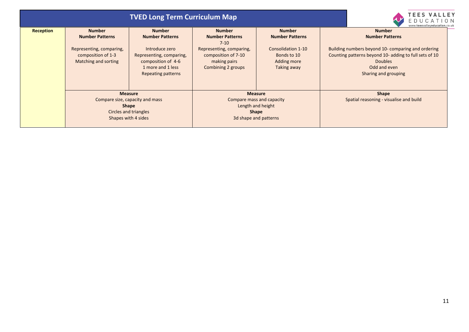| <b>TVED Long Term Curriculum Map</b> |                                                                                                                   |                                                                                                                                                        |                                                                                                                                              |                                                                                                            | 'EES VALLEY<br>$E$ D U C A<br>www.teesvalleyeducation.co.uk |                                                                                                                                                                                                                   |  |
|--------------------------------------|-------------------------------------------------------------------------------------------------------------------|--------------------------------------------------------------------------------------------------------------------------------------------------------|----------------------------------------------------------------------------------------------------------------------------------------------|------------------------------------------------------------------------------------------------------------|-------------------------------------------------------------|-------------------------------------------------------------------------------------------------------------------------------------------------------------------------------------------------------------------|--|
| <b>Reception</b>                     | <b>Number</b><br><b>Number Patterns</b><br>Representing, comparing,<br>composition of 1-3<br>Matching and sorting | <b>Number</b><br><b>Number Patterns</b><br>Introduce zero<br>Representing, comparing,<br>composition of 4-6<br>1 more and 1 less<br>Repeating patterns | <b>Number</b><br><b>Number Patterns</b><br>$7 - 10$<br>Representing, comparing,<br>composition of 7-10<br>making pairs<br>Combining 2 groups | <b>Number</b><br><b>Number Patterns</b><br>Consolidation 1-10<br>Bonds to 10<br>Adding more<br>Taking away |                                                             | <b>Number</b><br><b>Number Patterns</b><br>Building numbers beyond 10- comparing and ordering<br>Counting patterns beyond 10- adding to full sets of 10<br><b>Doubles</b><br>Odd and even<br>Sharing and grouping |  |
|                                      |                                                                                                                   | <b>Measure</b><br>Compare size, capacity and mass<br><b>Shape</b><br>Circles and triangles<br>Shapes with 4 sides                                      | <b>Measure</b><br>Compare mass and capacity<br>Length and height<br><b>Shape</b><br>3d shape and patterns                                    |                                                                                                            |                                                             | <b>Shape</b><br>Spatial reasoning - visualise and build                                                                                                                                                           |  |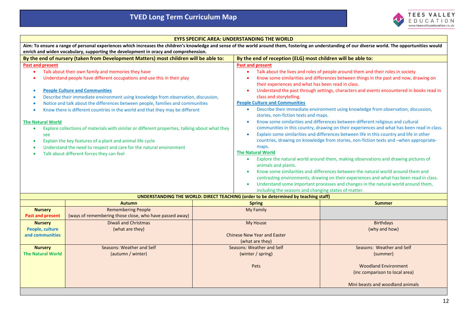

|                                                                                                                                                       | <b>EYFS SPECIFIC AREA: UNDERSTANDING THE WORLD</b>                                                                                                                                                                                                                                          |                                    |                                                                                     |                                                                                                                                                                                    |  |  |
|-------------------------------------------------------------------------------------------------------------------------------------------------------|---------------------------------------------------------------------------------------------------------------------------------------------------------------------------------------------------------------------------------------------------------------------------------------------|------------------------------------|-------------------------------------------------------------------------------------|------------------------------------------------------------------------------------------------------------------------------------------------------------------------------------|--|--|
|                                                                                                                                                       | Aim: To ensure a range of personal experiences which increases the children's knowledge and sense of the world around them, fostering an understanding of our diverse world. The opportunities would<br>enrich and widen vocabulary, supporting the development in oracy and comprehension. |                                    |                                                                                     |                                                                                                                                                                                    |  |  |
|                                                                                                                                                       | By the end of nursery (taken from Development Matters) most children will be able to:                                                                                                                                                                                                       |                                    | By the end of reception (ELG) most children will be able to:                        |                                                                                                                                                                                    |  |  |
| <b>Past and present</b>                                                                                                                               |                                                                                                                                                                                                                                                                                             |                                    | <b>Past and present</b>                                                             |                                                                                                                                                                                    |  |  |
| $\bullet$                                                                                                                                             | Talk about their own family and memories they have                                                                                                                                                                                                                                          |                                    |                                                                                     | Talk about the lives and roles of people around them and their roles in society                                                                                                    |  |  |
|                                                                                                                                                       | Understand people have different occupations and use this in their play                                                                                                                                                                                                                     |                                    | their experiences and what has been read in class.                                  | Know some similarities and differences between things in the past and now, drawing on                                                                                              |  |  |
| $\bullet$                                                                                                                                             | <b>People Culture and Communities</b>                                                                                                                                                                                                                                                       |                                    |                                                                                     | Understand the past through settings, characters and events encountered in books read in                                                                                           |  |  |
| $\bullet$                                                                                                                                             | Describe their immediate environment using knowledge from observation, discussion,                                                                                                                                                                                                          |                                    | class and storytelling.                                                             |                                                                                                                                                                                    |  |  |
| $\bullet$                                                                                                                                             | Notice and talk about the differences between people, families and communities                                                                                                                                                                                                              |                                    | <b>People Culture and Communities</b>                                               |                                                                                                                                                                                    |  |  |
| $\bullet$                                                                                                                                             | Know there is different countries in the world and that they may be different                                                                                                                                                                                                               |                                    | $\bullet$                                                                           | Describe their immediate environment using knowledge from observation, discussion,                                                                                                 |  |  |
|                                                                                                                                                       |                                                                                                                                                                                                                                                                                             |                                    | stories, non-fiction texts and maps.                                                |                                                                                                                                                                                    |  |  |
| <b>The Natural World</b>                                                                                                                              |                                                                                                                                                                                                                                                                                             |                                    |                                                                                     | Know some similarities and differences between different religious and cultural                                                                                                    |  |  |
| $\bullet$                                                                                                                                             | Explore collections of materials with similar or different properties, talking about what they                                                                                                                                                                                              |                                    |                                                                                     | communities in this country, drawing on their experiences and what has been read in class.                                                                                         |  |  |
| see                                                                                                                                                   |                                                                                                                                                                                                                                                                                             |                                    | $\bullet$                                                                           | Explain some similarities and differences between life in this country and life in other<br>countries, drawing on knowledge from stories, non-fiction texts and -when appropriate- |  |  |
| $\bullet$                                                                                                                                             | Explain the key features of a plant and animal life cycle                                                                                                                                                                                                                                   |                                    |                                                                                     |                                                                                                                                                                                    |  |  |
| Understand the need to respect and care for the natural environment<br>maps.<br><b>The Natural World</b><br>Talk about different forces they can feel |                                                                                                                                                                                                                                                                                             |                                    |                                                                                     |                                                                                                                                                                                    |  |  |
|                                                                                                                                                       |                                                                                                                                                                                                                                                                                             |                                    | $\bullet$                                                                           | Explore the natural world around them, making observations and drawing pictures of                                                                                                 |  |  |
|                                                                                                                                                       |                                                                                                                                                                                                                                                                                             |                                    | animals and plants.                                                                 |                                                                                                                                                                                    |  |  |
|                                                                                                                                                       |                                                                                                                                                                                                                                                                                             |                                    | Know some similarities and differences between the natural world around them and    |                                                                                                                                                                                    |  |  |
|                                                                                                                                                       |                                                                                                                                                                                                                                                                                             |                                    |                                                                                     | contrasting environments, drawing on their experiences and what has been read in class.                                                                                            |  |  |
|                                                                                                                                                       |                                                                                                                                                                                                                                                                                             |                                    |                                                                                     | Understand some important processes and changes in the natural world around them,                                                                                                  |  |  |
|                                                                                                                                                       |                                                                                                                                                                                                                                                                                             |                                    | including the seasons and changing states of matter.                                |                                                                                                                                                                                    |  |  |
|                                                                                                                                                       |                                                                                                                                                                                                                                                                                             |                                    | UNDERSTANDING THE WORLD: DIRECT TEACHING (order to be determined by teaching staff) |                                                                                                                                                                                    |  |  |
|                                                                                                                                                       | <b>Autumn</b>                                                                                                                                                                                                                                                                               |                                    | <b>Spring</b>                                                                       | <b>Summer</b>                                                                                                                                                                      |  |  |
| <b>Nursery</b>                                                                                                                                        | <b>Remembering People</b>                                                                                                                                                                                                                                                                   |                                    | My Family                                                                           |                                                                                                                                                                                    |  |  |
| <b>Past and present</b>                                                                                                                               | (ways of remembering those close, who have passed away)                                                                                                                                                                                                                                     |                                    |                                                                                     |                                                                                                                                                                                    |  |  |
| <b>Nursery</b>                                                                                                                                        | <b>Diwali and Christmas</b>                                                                                                                                                                                                                                                                 |                                    | My House                                                                            | <b>Birthdays</b>                                                                                                                                                                   |  |  |
| People, culture<br>and communities                                                                                                                    | (what are they)                                                                                                                                                                                                                                                                             | <b>Chinese New Year and Easter</b> |                                                                                     | (why and how)                                                                                                                                                                      |  |  |
|                                                                                                                                                       |                                                                                                                                                                                                                                                                                             |                                    | (what are they)                                                                     |                                                                                                                                                                                    |  |  |
| <b>Nursery</b>                                                                                                                                        | Seasons: Weather and Self                                                                                                                                                                                                                                                                   | Seasons: Weather and Self          |                                                                                     | Seasons: Weather and Self                                                                                                                                                          |  |  |
| <b>The Natural World</b>                                                                                                                              | (autumn / winter)                                                                                                                                                                                                                                                                           | (winter / spring)                  |                                                                                     | (summer)                                                                                                                                                                           |  |  |
|                                                                                                                                                       |                                                                                                                                                                                                                                                                                             |                                    |                                                                                     |                                                                                                                                                                                    |  |  |
|                                                                                                                                                       |                                                                                                                                                                                                                                                                                             |                                    | Pets                                                                                | <b>Woodland Environment</b>                                                                                                                                                        |  |  |
|                                                                                                                                                       |                                                                                                                                                                                                                                                                                             |                                    |                                                                                     | (inc comparison to local area)                                                                                                                                                     |  |  |
|                                                                                                                                                       |                                                                                                                                                                                                                                                                                             |                                    |                                                                                     |                                                                                                                                                                                    |  |  |
|                                                                                                                                                       |                                                                                                                                                                                                                                                                                             |                                    |                                                                                     | Mini beasts and woodland animals                                                                                                                                                   |  |  |
|                                                                                                                                                       |                                                                                                                                                                                                                                                                                             |                                    |                                                                                     |                                                                                                                                                                                    |  |  |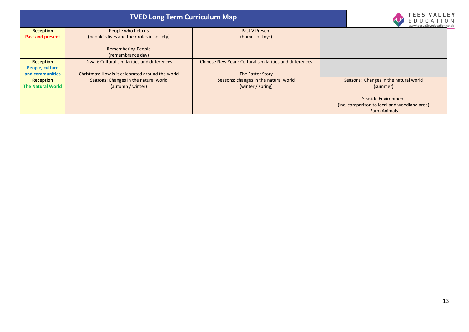|                          | <b>TVED Long Term Curriculum Map</b>             | 'EES VALLE'<br>1 O I T<br>www.teesvalleyeducation.co.u  |                                              |
|--------------------------|--------------------------------------------------|---------------------------------------------------------|----------------------------------------------|
| <b>Reception</b>         | People who help us                               | Past V Present                                          |                                              |
| <b>Past and present</b>  | (people's lives and their roles in society)      | (homes or toys)                                         |                                              |
|                          |                                                  |                                                         |                                              |
|                          | <b>Remembering People</b>                        |                                                         |                                              |
|                          | (remembrance day)                                |                                                         |                                              |
| Reception                | Diwali: Cultural similarities and differences    | Chinese New Year: Cultural similarities and differences |                                              |
| People, culture          |                                                  |                                                         |                                              |
| and communities          | Christmas: How is it celebrated around the world | The Easter Story                                        |                                              |
| Reception                | Seasons: Changes in the natural world            | Seasons: changes in the natural world                   | Seasons: Changes in the natural world        |
| <b>The Natural World</b> | (autumn / winter)                                | (winter / spring)                                       | (summer)                                     |
|                          |                                                  |                                                         |                                              |
|                          |                                                  |                                                         | Seaside Environment                          |
|                          |                                                  |                                                         | (inc. comparison to local and woodland area) |
|                          |                                                  |                                                         | <b>Farm Animals</b>                          |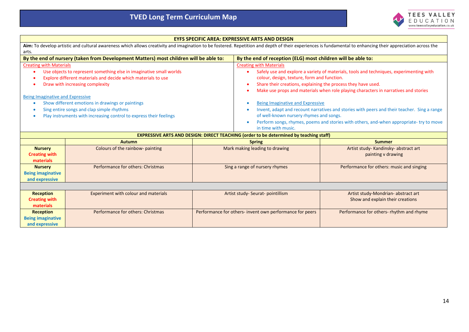

#### **EYFS SPECIFIC AREA: EXPRESSIVE ARTS AND DESIGN**

| Aim: To develop artistic and cultural awareness which allows creativity and imagination to be fostered. Repetition and depth of their experiences is fundamental to enhancing their appreciation across the<br>arts.                                                                                                                                                                                                 |                                                                                                                                                                                                                                                                                                                                                                                                                                                                                                                                                                                                                                  |                                                             |  |
|----------------------------------------------------------------------------------------------------------------------------------------------------------------------------------------------------------------------------------------------------------------------------------------------------------------------------------------------------------------------------------------------------------------------|----------------------------------------------------------------------------------------------------------------------------------------------------------------------------------------------------------------------------------------------------------------------------------------------------------------------------------------------------------------------------------------------------------------------------------------------------------------------------------------------------------------------------------------------------------------------------------------------------------------------------------|-------------------------------------------------------------|--|
| By the end of nursery (taken from Development Matters) most children will be able to:                                                                                                                                                                                                                                                                                                                                | By the end of reception (ELG) most children will be able to:                                                                                                                                                                                                                                                                                                                                                                                                                                                                                                                                                                     |                                                             |  |
| <b>Creating with Materials</b><br>Use objects to represent something else in imaginative small worlds<br>Explore different materials and decide which materials to use<br>Draw with increasing complexity<br>Being Imaginative and Expressive<br>Show different emotions in drawings or paintings<br>Sing entire songs and clap simple rhythms<br>Play instruments with increasing control to express their feelings | <b>Creating with Materials</b><br>Safely use and explore a variety of materials, tools and techniques, experimenting with<br>colour, design, texture, form and function.<br>Share their creations, explaining the process they have used.<br>Make use props and materials when role playing characters in narratives and stories<br>Being Imaginative and Expressive<br>Invent, adapt and recount narratives and stories with peers and their teacher. Sing a range<br>of well-known nursery rhymes and songs.<br>Perform songs, rhymes, poems and stories with others, and-when appropriate- try to move<br>in time with music. |                                                             |  |
| EXPRESSIVE ARTS AND DESIGN: DIRECT TEACHING (order to be determined by teaching staff)                                                                                                                                                                                                                                                                                                                               |                                                                                                                                                                                                                                                                                                                                                                                                                                                                                                                                                                                                                                  |                                                             |  |
| <b>Autumn</b>                                                                                                                                                                                                                                                                                                                                                                                                        | <b>Spring</b>                                                                                                                                                                                                                                                                                                                                                                                                                                                                                                                                                                                                                    | <b>Summer</b>                                               |  |
| Colours of the rainbow- painting<br><b>Nursery</b><br><b>Creating with</b><br>materials                                                                                                                                                                                                                                                                                                                              | Mark making leading to drawing                                                                                                                                                                                                                                                                                                                                                                                                                                                                                                                                                                                                   | Artist study- Kandinsky- abstract art<br>painting v drawing |  |
| Performance for others: Christmas<br><b>Nursery</b><br><b>Being imaginative</b><br>and expressive                                                                                                                                                                                                                                                                                                                    | Sing a range of nursery rhymes                                                                                                                                                                                                                                                                                                                                                                                                                                                                                                                                                                                                   | Performance for others: music and singing                   |  |

| Reception                | Experiment with colour and materials | Artist study- Seurat- pointillism                       | Artist study-Mondrian- abstract art      |
|--------------------------|--------------------------------------|---------------------------------------------------------|------------------------------------------|
| <b>Creating with</b>     |                                      |                                                         | Show and explain their creations         |
| materials                |                                      |                                                         |                                          |
| Reception                | Performance for others: Christmas    | Performance for others-invent own performance for peers | Performance for others- rhythm and rhyme |
| <b>Being imaginative</b> |                                      |                                                         |                                          |
| and expressive           |                                      |                                                         |                                          |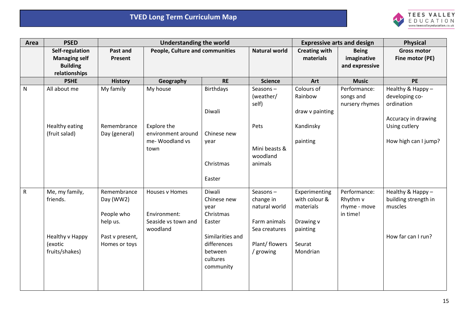

| Area         | <b>PSED</b>                                                | <b>Understanding the world</b>   |                                   |                  | <b>Expressive arts and design</b> |                                   | <b>Physical</b>                               |                                       |
|--------------|------------------------------------------------------------|----------------------------------|-----------------------------------|------------------|-----------------------------------|-----------------------------------|-----------------------------------------------|---------------------------------------|
|              | Self-regulation<br><b>Managing self</b><br><b>Building</b> | Past and<br>Present              | People, Culture and communities   |                  | <b>Natural world</b>              | <b>Creating with</b><br>materials | <b>Being</b><br>imaginative<br>and expressive | <b>Gross motor</b><br>Fine motor (PE) |
|              | relationships                                              |                                  |                                   |                  |                                   |                                   |                                               |                                       |
|              | <b>PSHE</b>                                                | <b>History</b>                   | Geography                         | <b>RE</b>        | <b>Science</b>                    | Art                               | <b>Music</b>                                  | <b>PE</b>                             |
| $\mathsf{N}$ | All about me                                               | My family                        | My house                          | <b>Birthdays</b> | Seasons $-$                       | Colours of                        | Performance:                                  | Healthy & Happy -                     |
|              |                                                            |                                  |                                   |                  | (weather/                         | Rainbow                           | songs and                                     | developing co-                        |
|              |                                                            |                                  |                                   |                  | self)                             |                                   | nursery rhymes                                | ordination                            |
|              |                                                            |                                  |                                   | Diwali           |                                   | draw v painting                   |                                               |                                       |
|              |                                                            |                                  |                                   |                  |                                   |                                   |                                               | Accuracy in drawing                   |
|              | <b>Healthy eating</b><br>(fruit salad)                     | Remembrance<br>Day (general)     | Explore the<br>environment around | Chinese new      | Pets                              | Kandinsky                         |                                               | Using cutlery                         |
|              |                                                            |                                  | me-Woodland vs                    | year             |                                   | painting                          |                                               | How high can I jump?                  |
|              |                                                            |                                  | town                              |                  | Mini beasts &                     |                                   |                                               |                                       |
|              |                                                            |                                  |                                   |                  | woodland                          |                                   |                                               |                                       |
|              |                                                            |                                  |                                   | Christmas        | animals                           |                                   |                                               |                                       |
|              |                                                            |                                  |                                   |                  |                                   |                                   |                                               |                                       |
|              |                                                            |                                  |                                   | Easter           |                                   |                                   |                                               |                                       |
| ${\sf R}$    | Me, my family,                                             | Remembrance                      | Houses v Homes                    | Diwali           | Seasons-                          | Experimenting                     | Performance:                                  | Healthy & Happy-                      |
|              | friends.                                                   | Day (WW2)                        |                                   | Chinese new      | change in                         | with colour &                     | Rhythm v                                      | building strength in                  |
|              |                                                            |                                  |                                   | year             | natural world                     | materials                         | rhyme - move                                  | muscles                               |
|              |                                                            | People who                       | Environment:                      | Christmas        |                                   |                                   | in time!                                      |                                       |
|              |                                                            | help us.                         | Seaside vs town and               | Easter           | Farm animals                      | Drawing v                         |                                               |                                       |
|              |                                                            |                                  | woodland                          | Similarities and | Sea creatures                     | painting                          |                                               | How far can I run?                    |
|              | Healthy v Happy<br>(exotic                                 | Past v present,<br>Homes or toys |                                   | differences      | Plant/ flowers                    | Seurat                            |                                               |                                       |
|              | fruits/shakes)                                             |                                  |                                   | between          | / growing                         | Mondrian                          |                                               |                                       |
|              |                                                            |                                  |                                   | cultures         |                                   |                                   |                                               |                                       |
|              |                                                            |                                  |                                   | community        |                                   |                                   |                                               |                                       |
|              |                                                            |                                  |                                   |                  |                                   |                                   |                                               |                                       |
|              |                                                            |                                  |                                   |                  |                                   |                                   |                                               |                                       |
|              |                                                            |                                  |                                   |                  |                                   |                                   |                                               |                                       |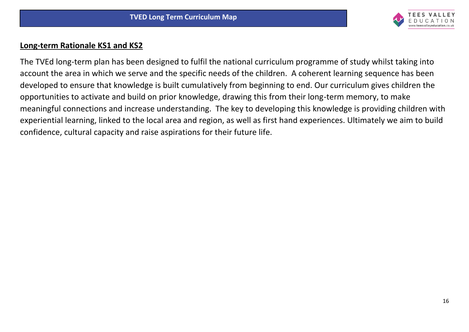

# **Long-term Rationale KS1 and KS2**

The TVEd long-term plan has been designed to fulfil the national curriculum programme of study whilst taking into account the area in which we serve and the specific needs of the children. A coherent learning sequence has been developed to ensure that knowledge is built cumulatively from beginning to end. Our curriculum gives children the opportunities to activate and build on prior knowledge, drawing this from their long-term memory, to make meaningful connections and increase understanding. The key to developing this knowledge is providing children with experiential learning, linked to the local area and region, as well as first hand experiences. Ultimately we aim to build confidence, cultural capacity and raise aspirations for their future life.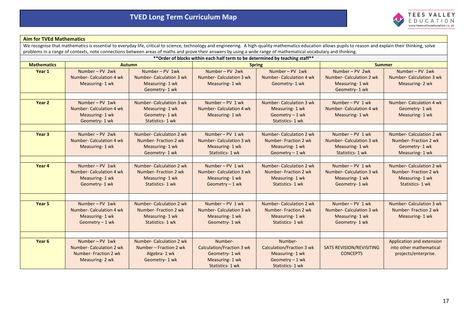

#### **Aim for TVEd Mathematics**

We recognise that mathematics is essential to everyday life, critical to science, technology and engineering. A high-quality mathematics education allows pupils to reason and explain their thinking, solve problems in a range of contexts, note connections between areas of maths and prove their answers by using a wide range of mathematical vocabulary and thinking.

| ** Order of blocks within each half term to be determined by teaching staff** |                                                                                      |                                                                                             |                                                                                                    |                                                                                                      |                                                                                        |                                                                                           |  |  |
|-------------------------------------------------------------------------------|--------------------------------------------------------------------------------------|---------------------------------------------------------------------------------------------|----------------------------------------------------------------------------------------------------|------------------------------------------------------------------------------------------------------|----------------------------------------------------------------------------------------|-------------------------------------------------------------------------------------------|--|--|
| <b>Mathematics</b>                                                            | <b>Autumn</b>                                                                        |                                                                                             |                                                                                                    | <b>Spring</b>                                                                                        |                                                                                        | <b>Summer</b>                                                                             |  |  |
| Year 1                                                                        | Number-PV 2wk<br>Number-Calculation 4 wk<br>Measuring-1 wk                           | Number-PV 1wk<br><b>Number-Calculation 3 wk</b><br>Measuring-1 wk<br>Geometry-1 wk          | Number-PV 2wk<br>Number-Calculation 3 wk<br>Measuring-1 wk                                         | Number-PV 1wk<br>Number-Calculation 4 wk<br>Geometry-1 wk                                            | Number-PV 2wk<br><b>Number-Calculation 2 wk</b><br>Measuring-1 wk<br>Geometry-1 wk     | Number-PV 1wk<br>Number-Calculation 3 wk<br>Measuring- 2 wk                               |  |  |
|                                                                               |                                                                                      |                                                                                             |                                                                                                    |                                                                                                      |                                                                                        |                                                                                           |  |  |
| Year 2                                                                        | Number-PV 1wk<br>Number-Calculation 4 wk<br>Measuring-1 wk<br>Geometry-1 wk          | <b>Number-Calculation 3 wk</b><br>Measuring-1 wk<br>Geometry-1 wk<br>Statistics-1 wk        | Number $-$ PV 1 wk<br>Number-Calculation 4 wk<br>Measuring-1 wk                                    | Number-Calculation 3 wk<br>Measuring-1 wk<br>Geometry $-1$ wk<br>Statistics-1 wk                     | Number-PV 1 wk<br><b>Number- Calculation 4 wk</b><br>Measuring-1 wk                    | Number-Calculation 4 wk<br>Geometry- 1 wk<br>Measuring-1 wk                               |  |  |
|                                                                               |                                                                                      |                                                                                             |                                                                                                    |                                                                                                      |                                                                                        |                                                                                           |  |  |
| Year 3                                                                        | Number-PV 2wk<br><b>Number-Calculation 4 wk</b><br>Measuring-1 wk                    | Number-Calculation 2 wk<br>Number-Fraction 2 wk<br>Measuring-1 wk<br>Geometry-1 wk          | Number $-$ PV 1 wk<br><b>Number-Calculation 3 wk</b><br>Measuring-1 wk<br>Statistics-1 wk          | Number-Calculation 2 wk<br>Number-Fraction 2 wk<br>Measuring-1 wk<br>Geometry $-1$ wk                | Number-PV 1 wk<br><b>Number- Calculation 3 wk</b><br>Measuring-1 wk<br>Statistics-1 wk | <b>Number-Calculation 2 wk</b><br>Number-Fraction 2 wk<br>Geometry-1 wk<br>Measuring-1 wk |  |  |
|                                                                               |                                                                                      |                                                                                             |                                                                                                    |                                                                                                      |                                                                                        |                                                                                           |  |  |
| Year 4                                                                        | Number - PV 1wk<br><b>Number-Calculation 4 wk</b><br>Measuring-1 wk<br>Geometry-1 wk | Number-Calculation 2 wk<br>Number-Fraction 2 wk<br>Measuring-1 wk<br>Statistics-1 wk        | Number $-$ PV 1 wk<br><b>Number-Calculation 3 wk</b><br>Measuring-1 wk<br>Geometry - 1 wk          | Number-Calculation 2 wk<br>Number-Fraction 2 wk<br>Measuring-1 wk<br>Statistics-1 wk                 | Number-PV 1 wk<br><b>Number- Calculation 3 wk</b><br>Measuring-1 wk<br>Geometry-1 wk   | Number-Calculation 2 wk<br>Number-Fraction 2 wk<br>Measuring-1 wk<br>Statistics-1 wk      |  |  |
|                                                                               |                                                                                      |                                                                                             |                                                                                                    |                                                                                                      |                                                                                        |                                                                                           |  |  |
| Year 5                                                                        | Number-PV 1wk<br>Number-Calculation 4 wk<br>Measuring-1 wk<br>Geometry $-1$ wk       | <b>Number-Calculation 2 wk</b><br>Number-Fraction 2 wk<br>Measuring-1 wk<br>Statistics-1 wk | Number $-$ PV 1 wk<br>Number-Calculation 3 wk<br>Measuring-1 wk<br>Geometry- 1 wk                  | <b>Number-Calculation 2 wk</b><br>Number-Fraction 2 wk<br>Measuring-1 wk<br>Statistics-1 wk          | Number-PV 1 wk<br><b>Number- Calculation 3 wk</b><br>Measuring-1 wk<br>Geometry- 1 wk  | Number-Calculation 3 wk<br>Number-Fraction 2 wk<br>Measuring-1 wk                         |  |  |
|                                                                               |                                                                                      |                                                                                             |                                                                                                    |                                                                                                      |                                                                                        |                                                                                           |  |  |
| Year 6                                                                        | Number-PV 1wk<br>Number-Calculation 2 wk<br>Number-Fraction 2 wk<br>Measuring- 2 wk  | Number-Calculation 2 wk<br>Number - Fraction 2 wk<br>Algebra-1 wk<br>Geometry-1 wk          | Number-<br><b>Calculation/Fraction 3 wk</b><br>Geometry- 1 wk<br>Measuring-1 wk<br>Statistics-1 wk | Number-<br><b>Calculation/Fraction 3 wk</b><br>Measuring-1 wk<br>Geometry $-1$ wk<br>Statistics-1 wk | <b>SATS REVISION/REVISITING</b><br><b>CONCEPTS</b>                                     | Application and extension<br>into other mathematical<br>projects/enterprise.              |  |  |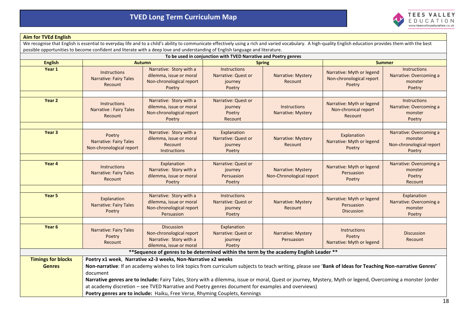

#### **Aim for TVEd English**

We recognise that English is essential to everyday life and to a child's ability to communicate effectively using a rich and varied vocabulary. A high-quality English education provides them with the best possible opportunities to become confident and literate with a deep love and understanding of English language and literature.

| To be used in conjunction with TVED Narrative and Poetry genres |                                                                                                                                                                                                                                                                                                                                                                                                                                                                                                                                                                                          |                                                                                                     |                                                                 |                                                       |                                                                 |                                                                          |
|-----------------------------------------------------------------|------------------------------------------------------------------------------------------------------------------------------------------------------------------------------------------------------------------------------------------------------------------------------------------------------------------------------------------------------------------------------------------------------------------------------------------------------------------------------------------------------------------------------------------------------------------------------------------|-----------------------------------------------------------------------------------------------------|-----------------------------------------------------------------|-------------------------------------------------------|-----------------------------------------------------------------|--------------------------------------------------------------------------|
| <b>English</b>                                                  | <b>Autumn</b>                                                                                                                                                                                                                                                                                                                                                                                                                                                                                                                                                                            |                                                                                                     |                                                                 | <b>Spring</b>                                         |                                                                 | <b>Summer</b>                                                            |
| Year 1                                                          | Instructions<br><b>Narrative: Fairy Tales</b><br>Recount                                                                                                                                                                                                                                                                                                                                                                                                                                                                                                                                 | Narrative: Story with a<br>dilemma, issue or moral<br>Non-chronological report<br>Poetry            | <b>Instructions</b><br>Narrative: Quest or<br>journey<br>Poetry | <b>Narrative: Mystery</b><br>Recount                  | Narrative: Myth or legend<br>Non-chronological report<br>Poetry | <b>Instructions</b><br>Narrative: Overcoming a<br>monster<br>Poetry      |
|                                                                 |                                                                                                                                                                                                                                                                                                                                                                                                                                                                                                                                                                                          |                                                                                                     |                                                                 |                                                       |                                                                 |                                                                          |
| Year 2                                                          | Instructions<br><b>Narrative : Fairy Tales</b><br>Recount                                                                                                                                                                                                                                                                                                                                                                                                                                                                                                                                | Narrative: Story with a<br>dilemma, issue or moral<br>Non-chronological report<br>Poetry            | Narrative: Quest or<br>journey<br>Poetry<br>Recount             | Instructions<br>Narrative: Mystery                    | Narrative: Myth or legend<br>Non-chronical report<br>Recount    | Instructions<br>Narrative: Overcoming a<br>monster<br>Poetry             |
|                                                                 |                                                                                                                                                                                                                                                                                                                                                                                                                                                                                                                                                                                          |                                                                                                     |                                                                 |                                                       |                                                                 |                                                                          |
| Year 3                                                          | Poetry<br>Narrative: Fairy Tales<br>Non-chronological report                                                                                                                                                                                                                                                                                                                                                                                                                                                                                                                             | Narrative: Story with a<br>dilemma, issue or moral<br>Recount<br>Instructions                       | Explanation<br>Narrative: Quest or<br>journey<br>Poetry         | <b>Narrative: Mystery</b><br>Recount                  | Explanation<br>Narrative: Myth or legend<br>Poetry              | Narrative: Overcoming a<br>monster<br>Non-chronological report<br>Poetry |
|                                                                 |                                                                                                                                                                                                                                                                                                                                                                                                                                                                                                                                                                                          |                                                                                                     |                                                                 |                                                       |                                                                 |                                                                          |
| Year 4                                                          | <b>Instructions</b><br><b>Narrative: Fairy Tales</b><br>Recount                                                                                                                                                                                                                                                                                                                                                                                                                                                                                                                          | Explanation<br>Narrative: Story with a<br>dilemma, issue or moral<br>Poetry                         | Narrative: Quest or<br>journey<br>Persuasion<br>Poetry          | <b>Narrative: Mystery</b><br>Non-Chronological report | Narrative: Myth or legend<br>Persuasion<br>Poetry               | Narrative: Overcoming a<br>monster<br>Poetry<br>Recount                  |
|                                                                 |                                                                                                                                                                                                                                                                                                                                                                                                                                                                                                                                                                                          |                                                                                                     |                                                                 |                                                       |                                                                 |                                                                          |
| Year <sub>5</sub>                                               | Explanation<br>Narrative: Fairy Tales<br>Poetry                                                                                                                                                                                                                                                                                                                                                                                                                                                                                                                                          | Narrative: Story with a<br>dilemma, issue or moral<br>Non-chronological report<br>Persuasion        | <b>Instructions</b><br>Narrative: Quest or<br>journey<br>Poetry | Narrative: Mystery<br>Recount                         | Narrative: Myth or legend<br>Persuasion<br><b>Discussion</b>    | Explanation<br>Narrative: Overcoming a<br>monster<br>Poetry              |
|                                                                 |                                                                                                                                                                                                                                                                                                                                                                                                                                                                                                                                                                                          |                                                                                                     |                                                                 |                                                       |                                                                 |                                                                          |
| Year 6                                                          | <b>Narrative: Fairy Tales</b><br>Poetry<br>Recount                                                                                                                                                                                                                                                                                                                                                                                                                                                                                                                                       | <b>Discussion</b><br>Non-chronological report<br>Narrative: Story with a<br>dilemma, issue or moral | Explanation<br>Narrative: Quest or<br>journey<br>Poetry         | <b>Narrative: Mystery</b><br>Persuasion               | <b>Instructions</b><br>Poetry<br>Narrative: Myth or legend      | <b>Discussion</b><br>Recount                                             |
|                                                                 |                                                                                                                                                                                                                                                                                                                                                                                                                                                                                                                                                                                          | ** Sequence of genres to be determined within the term by the academy English Leader **             |                                                                 |                                                       |                                                                 |                                                                          |
| <b>Timings for blocks</b><br><b>Genres</b>                      | Poetry x1 week, Narrative x2-3 weeks, Non-Narrative x2 weeks<br>Non-narrative: If an academy wishes to link topics from curriculum subjects to teach writing, please see 'Bank of Ideas for Teaching Non-narrative Genres'<br>document<br>Narrative genres are to include: Fairy Tales, Story with a dilemma, issue or moral, Quest or journey, Mystery, Myth or legend, Overcoming a monster (order<br>at academy discretion - see TVED Narrative and Poetry genres document for examples and overviews)<br>Poetry genres are to include: Haiku, Free Verse, Rhyming Couplets, Kennings |                                                                                                     |                                                                 |                                                       |                                                                 |                                                                          |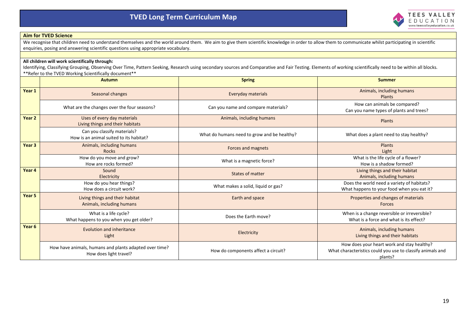

#### **Aim for TVED Science**

We recognise that children need to understand themselves and the world around them. We aim to give them scientific knowledge in order to allow them to communicate whilst participating in scientific enquiries, posing and answering scientific questions using appropriate vocabulary.

#### **All children will work scientifically through:**

Identifying, Classifying Grouping, Observing Over Time, Pattern Seeking, Research using secondary sources and Comparative and Fair Testing. Elements of working scientifically need to be within all blocks. \*\*Refer to the TVED Working Scientifically document\*\*

|                   | <b>Autumn</b>                                                                    | <b>Spring</b>                               | <b>Summer</b>                                                                                                       |
|-------------------|----------------------------------------------------------------------------------|---------------------------------------------|---------------------------------------------------------------------------------------------------------------------|
| Year 1            | Seasonal changes                                                                 | Everyday materials                          | Animals, including humans<br><b>Plants</b>                                                                          |
|                   | What are the changes over the four seasons?                                      | Can you name and compare materials?         | How can animals be compared?<br>Can you name types of plants and trees?                                             |
| Year <sub>2</sub> | Uses of every day materials<br>Living things and their habitats                  | Animals, including humans                   | Plants                                                                                                              |
|                   | Can you classify materials?<br>How is an animal suited to its habitat?           | What do humans need to grow and be healthy? | What does a plant need to stay healthy?                                                                             |
| Year 3            | Animals, including humans<br><b>Rocks</b>                                        | Forces and magnets                          | <b>Plants</b><br>Light                                                                                              |
|                   | How do you move and grow?<br>How are rocks formed?                               | What is a magnetic force?                   | What is the life cycle of a flower?<br>How is a shadow formed?                                                      |
| Year 4            | Sound<br>Electricity                                                             | States of matter                            | Living things and their habitat<br>Animals, including humans                                                        |
|                   | How do you hear things?<br>How does a circuit work?                              | What makes a solid, liquid or gas?          | Does the world need a variety of habitats?<br>What happens to your food when you eat it?                            |
| Year <sub>5</sub> | Living things and their habitat<br>Animals, including humans                     | Earth and space                             | Properties and changes of materials<br><b>Forces</b>                                                                |
|                   | What is a life cycle?<br>What happens to you when you get older?                 | Does the Earth move?                        | When is a change reversible or irreversible?<br>What is a force and what is its effect?                             |
| Year <sub>6</sub> | <b>Evolution and inheritance</b><br>Light                                        | Electricity                                 | Animals, including humans<br>Living things and their habitats                                                       |
|                   | How have animals, humans and plants adapted over time?<br>How does light travel? | How do components affect a circuit?         | How does your heart work and stay healthy?<br>What characteristics could you use to classify animals and<br>plants? |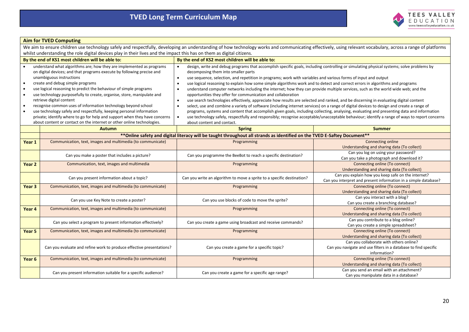

### **Aim for TVED Computing**

| We aim to ensure children use technology safely and respectfully, developing an understanding of how technology works and communicating effectively, using relevant vocabulary, across a range of platforms                                       |                                                                                                                                                                                                                                                                                                                                                                                                                                                            |                                                                                                                                                                                                                                                                                                                                                                                                                                                                                                                                                                                                                                                                                                                                                                                                                                                                                                                                                                   |                                                                                                                                               |  |  |  |  |  |
|---------------------------------------------------------------------------------------------------------------------------------------------------------------------------------------------------------------------------------------------------|------------------------------------------------------------------------------------------------------------------------------------------------------------------------------------------------------------------------------------------------------------------------------------------------------------------------------------------------------------------------------------------------------------------------------------------------------------|-------------------------------------------------------------------------------------------------------------------------------------------------------------------------------------------------------------------------------------------------------------------------------------------------------------------------------------------------------------------------------------------------------------------------------------------------------------------------------------------------------------------------------------------------------------------------------------------------------------------------------------------------------------------------------------------------------------------------------------------------------------------------------------------------------------------------------------------------------------------------------------------------------------------------------------------------------------------|-----------------------------------------------------------------------------------------------------------------------------------------------|--|--|--|--|--|
|                                                                                                                                                                                                                                                   | whilst understanding the role digital devices play in their lives and the impact this has on them as digital citizens.                                                                                                                                                                                                                                                                                                                                     |                                                                                                                                                                                                                                                                                                                                                                                                                                                                                                                                                                                                                                                                                                                                                                                                                                                                                                                                                                   |                                                                                                                                               |  |  |  |  |  |
|                                                                                                                                                                                                                                                   | By the end of KS1 most children will be able to:                                                                                                                                                                                                                                                                                                                                                                                                           | By the end of KS2 most children will be able to:                                                                                                                                                                                                                                                                                                                                                                                                                                                                                                                                                                                                                                                                                                                                                                                                                                                                                                                  |                                                                                                                                               |  |  |  |  |  |
| $\bullet$<br>$\bullet$<br>$\bullet$<br>$\bullet$                                                                                                                                                                                                  | understand what algorithms are; how they are implemented as programs<br>on digital devices; and that programs execute by following precise and<br>unambiguous instructions<br>create and debug simple programs<br>use logical reasoning to predict the behaviour of simple programs<br>use technology purposefully to create, organise, store, manipulate and<br>retrieve digital content<br>recognise common uses of information technology beyond school | design, write and debug programs that accomplish specific goals, including controlling or simulating physical systems; solve problems by<br>decomposing them into smaller parts<br>use sequence, selection, and repetition in programs; work with variables and various forms of input and output<br>use logical reasoning to explain how some simple algorithms work and to detect and correct errors in algorithms and programs<br>$\bullet$<br>understand computer networks including the internet; how they can provide multiple services, such as the world wide web; and the<br>$\bullet$<br>opportunities they offer for communication and collaboration<br>use search technologies effectively, appreciate how results are selected and ranked, and be discerning in evaluating digital content<br>select, use and combine a variety of software (including internet services) on a range of digital devices to design and create a range of<br>$\bullet$ |                                                                                                                                               |  |  |  |  |  |
| $\bullet$                                                                                                                                                                                                                                         | use technology safely and respectfully, keeping personal information                                                                                                                                                                                                                                                                                                                                                                                       | programs, systems and content that accomplish given goals, including collecting, analysing, evaluating and presenting data and information                                                                                                                                                                                                                                                                                                                                                                                                                                                                                                                                                                                                                                                                                                                                                                                                                        |                                                                                                                                               |  |  |  |  |  |
|                                                                                                                                                                                                                                                   | private; identify where to go for help and support when they have concerns                                                                                                                                                                                                                                                                                                                                                                                 |                                                                                                                                                                                                                                                                                                                                                                                                                                                                                                                                                                                                                                                                                                                                                                                                                                                                                                                                                                   | use technology safely, respectfully and responsibly; recognise acceptable/unacceptable behaviour; identify a range of ways to report concerns |  |  |  |  |  |
|                                                                                                                                                                                                                                                   | about content or contact on the internet or other online technologies.                                                                                                                                                                                                                                                                                                                                                                                     | about content and contact.                                                                                                                                                                                                                                                                                                                                                                                                                                                                                                                                                                                                                                                                                                                                                                                                                                                                                                                                        |                                                                                                                                               |  |  |  |  |  |
|                                                                                                                                                                                                                                                   | <b>Autumn</b>                                                                                                                                                                                                                                                                                                                                                                                                                                              | <b>Spring</b>                                                                                                                                                                                                                                                                                                                                                                                                                                                                                                                                                                                                                                                                                                                                                                                                                                                                                                                                                     | <b>Summer</b>                                                                                                                                 |  |  |  |  |  |
|                                                                                                                                                                                                                                                   |                                                                                                                                                                                                                                                                                                                                                                                                                                                            | ** Online safety and digital literacy will be taught throughout all strands as identified on the TVED E-Saftey Document**                                                                                                                                                                                                                                                                                                                                                                                                                                                                                                                                                                                                                                                                                                                                                                                                                                         |                                                                                                                                               |  |  |  |  |  |
| Year 1                                                                                                                                                                                                                                            | Communication, text, images and multimedia (to communicate)                                                                                                                                                                                                                                                                                                                                                                                                | Programming                                                                                                                                                                                                                                                                                                                                                                                                                                                                                                                                                                                                                                                                                                                                                                                                                                                                                                                                                       | Connecting online                                                                                                                             |  |  |  |  |  |
|                                                                                                                                                                                                                                                   |                                                                                                                                                                                                                                                                                                                                                                                                                                                            |                                                                                                                                                                                                                                                                                                                                                                                                                                                                                                                                                                                                                                                                                                                                                                                                                                                                                                                                                                   | Understanding and sharing data (To collect)                                                                                                   |  |  |  |  |  |
|                                                                                                                                                                                                                                                   | Can you make a poster that includes a picture?                                                                                                                                                                                                                                                                                                                                                                                                             | Can you programme the BeeBot to reach a specific destination?                                                                                                                                                                                                                                                                                                                                                                                                                                                                                                                                                                                                                                                                                                                                                                                                                                                                                                     | Can you log on using your password?<br>Can you take a photograph and download it?                                                             |  |  |  |  |  |
| Year 2                                                                                                                                                                                                                                            | Communication, text, images and multimedia                                                                                                                                                                                                                                                                                                                                                                                                                 | Programming                                                                                                                                                                                                                                                                                                                                                                                                                                                                                                                                                                                                                                                                                                                                                                                                                                                                                                                                                       | Connecting online (To connect)<br>Understanding and sharing data (To collect)                                                                 |  |  |  |  |  |
|                                                                                                                                                                                                                                                   | Can you present information about a topic?                                                                                                                                                                                                                                                                                                                                                                                                                 | Can you write an algorithm to move a sprite to a specific destination?                                                                                                                                                                                                                                                                                                                                                                                                                                                                                                                                                                                                                                                                                                                                                                                                                                                                                            | Can you explain how you keep safe on the internet?<br>Can you interpret and present information in a simple database?                         |  |  |  |  |  |
| Year 3                                                                                                                                                                                                                                            | Communication, text, images and multimedia (to communicate)                                                                                                                                                                                                                                                                                                                                                                                                | Programming                                                                                                                                                                                                                                                                                                                                                                                                                                                                                                                                                                                                                                                                                                                                                                                                                                                                                                                                                       | Connecting online (To connect)<br>Understanding and sharing data (To collect)                                                                 |  |  |  |  |  |
|                                                                                                                                                                                                                                                   | Can you use Key Note to create a poster?                                                                                                                                                                                                                                                                                                                                                                                                                   | Can you use blocks of code to move the sprite?                                                                                                                                                                                                                                                                                                                                                                                                                                                                                                                                                                                                                                                                                                                                                                                                                                                                                                                    | Can you interact with a blog?<br>Can you create a branching database?                                                                         |  |  |  |  |  |
| Year 4                                                                                                                                                                                                                                            | Communication, text, images and multimedia (to communicate)                                                                                                                                                                                                                                                                                                                                                                                                | Programming                                                                                                                                                                                                                                                                                                                                                                                                                                                                                                                                                                                                                                                                                                                                                                                                                                                                                                                                                       | Connecting online (To connect)<br>Understanding and sharing data (To collect)                                                                 |  |  |  |  |  |
|                                                                                                                                                                                                                                                   | Can you select a program to present information effectively?                                                                                                                                                                                                                                                                                                                                                                                               | Can you create a game using broadcast and receive commands?                                                                                                                                                                                                                                                                                                                                                                                                                                                                                                                                                                                                                                                                                                                                                                                                                                                                                                       | Can you contribute to a blog online?<br>Can you create a simple spreadsheet?                                                                  |  |  |  |  |  |
| Year 5                                                                                                                                                                                                                                            | Communication, text, images and multimedia (to communicate)                                                                                                                                                                                                                                                                                                                                                                                                | Programming                                                                                                                                                                                                                                                                                                                                                                                                                                                                                                                                                                                                                                                                                                                                                                                                                                                                                                                                                       | Connecting online (To connect)<br>Understanding and sharing data (To collect)                                                                 |  |  |  |  |  |
| Can you collaborate with others online?<br>Can you navigate and use filters in a database to find specific<br>Can you evaluate and refine work to produce effective presentations?<br>Can you create a game for a specific topic?<br>information? |                                                                                                                                                                                                                                                                                                                                                                                                                                                            |                                                                                                                                                                                                                                                                                                                                                                                                                                                                                                                                                                                                                                                                                                                                                                                                                                                                                                                                                                   |                                                                                                                                               |  |  |  |  |  |
| Year 6                                                                                                                                                                                                                                            | Communication, text, images and multimedia (to communicate)                                                                                                                                                                                                                                                                                                                                                                                                | Programming                                                                                                                                                                                                                                                                                                                                                                                                                                                                                                                                                                                                                                                                                                                                                                                                                                                                                                                                                       | Connecting online (To connect)<br>Understanding and sharing data (To collect)                                                                 |  |  |  |  |  |
|                                                                                                                                                                                                                                                   | Can you present information suitable for a specific audience?                                                                                                                                                                                                                                                                                                                                                                                              | Can you send an email with an attachment?<br>Can you create a game for a specific age range?<br>Can you manipulate data in a database?                                                                                                                                                                                                                                                                                                                                                                                                                                                                                                                                                                                                                                                                                                                                                                                                                            |                                                                                                                                               |  |  |  |  |  |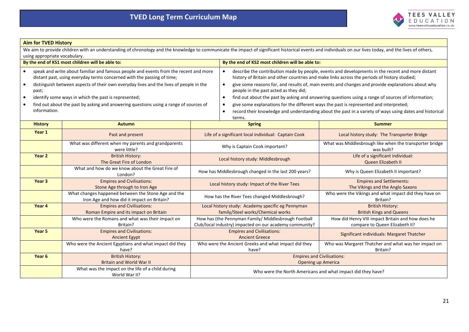

#### **Aim for TVED History**

We aim to provide children with an understanding of chronology and the knowledge to communicate the impact of significant historical events and individuals on our lives today, and the lives of others, using appropriate vocabulary.

| By the end of KS1 most children will be able to: |                                                                                                                                                                | By the end of KS2 most children will be able to:                                                                                                                                                 |  |  |
|--------------------------------------------------|----------------------------------------------------------------------------------------------------------------------------------------------------------------|--------------------------------------------------------------------------------------------------------------------------------------------------------------------------------------------------|--|--|
|                                                  | speak and write about familiar and famous people and events from the recent and more<br>distant past, using everyday terms concerned with the passing of time; | describe the contribution made by people, events and developments in the recent and more distant<br>history of Britain and other countries and make links across the periods of history studied; |  |  |
|                                                  | distinguish between aspects of their own everyday lives and the lives of people in the<br>past;                                                                | give some reasons for, and results of, main events and changes and provide explanations about why<br>people in the past acted as they did;                                                       |  |  |
|                                                  | identify some ways in which the past is represented;                                                                                                           | find out about the past by asking and answering questions using a range of sources of information;                                                                                               |  |  |
|                                                  | find out about the past by asking and answering questions using a range of sources of                                                                          | give some explanations for the different ways the past is represented and interpreted;                                                                                                           |  |  |
|                                                  | information.                                                                                                                                                   | record their knowledge and understanding about the past in a variety of ways using dates and historical<br>terms                                                                                 |  |  |

| <b>History</b>    | <b>Autumn</b>                                                                                     | <b>Spring</b><br><b>Summer</b>                                                                                  |                                                                                     |
|-------------------|---------------------------------------------------------------------------------------------------|-----------------------------------------------------------------------------------------------------------------|-------------------------------------------------------------------------------------|
| Year 1            | Past and present                                                                                  | Life of a significant local individual: Captain Cook                                                            | Local history study: The Transporter Bridge                                         |
|                   | What was different when my parents and grandparents<br>were little?                               | Why is Captain Cook important?                                                                                  | What was Middlesbrough like when the transporter bridge<br>was built?               |
| Year <sub>2</sub> | <b>British History:</b><br>The Great Fire of London                                               | Local history study: Middlesbrough                                                                              | Life of a significant individual:<br>Queen Elizabeth II                             |
|                   | What and how do we know about the Great Fire of<br>London?                                        | How has Middlesbrough changed in the last 200 years?                                                            | Why is Queen Elizabeth II important?                                                |
| Year <sub>3</sub> | <b>Empires and Civilisations:</b><br>Stone Age through to Iron Age                                | Local history study: Impact of the River Tees                                                                   | <b>Empires and Settlements:</b><br>The Vikings and the Anglo Saxons                 |
|                   | What changes happened between the Stone Age and the<br>Iron Age and how did it impact on Britain? | How has the River Tees changed Middlesbrough?                                                                   | Who were the Vikings and what impact did they have on<br>Britain?                   |
| Year <sub>4</sub> | <b>Empires and Civilisations:</b><br>Roman Empire and its impact on Britain                       | Local history study: Academy specific eg Pennyman<br>family/Steel works/Chemical works                          | <b>British History:</b><br><b>British Kings and Queens</b>                          |
|                   | Who were the Romans and what was their impact on<br>Britain?                                      | How has (the Pennyman Family/ Middlesbrough Football<br>Club/local industry) impacted on our academy community? | How did Henry VIII impact Britain and how does he<br>compare to Queen Elizabeth II? |
| Year <sub>5</sub> | <b>Empires and Civilisations:</b><br><b>Ancient Egypt</b>                                         | <b>Empires and Civilisations:</b><br><b>Ancient Greece</b>                                                      | Significant individuals: Margaret Thatcher                                          |
|                   | Who were the Ancient Egyptians and what impact did they<br>have?                                  | Who were the Ancient Greeks and what impact did they<br>have?                                                   | Who was Margaret Thatcher and what was her impact on<br>Britain?                    |
| Year <sub>6</sub> | <b>British History:</b><br><b>Britain and World War II</b>                                        | <b>Empires and Civilisations:</b><br>Opening up America                                                         |                                                                                     |
|                   | What was the impact on the life of a child during<br>World War II?                                |                                                                                                                 | Who were the North Americans and what impact did they have?                         |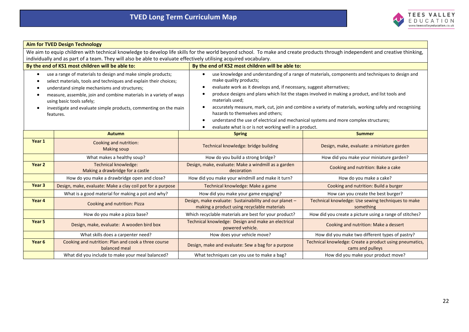

|  |  |  | Aim for TVED Design Technology |
|--|--|--|--------------------------------|
|--|--|--|--------------------------------|

We aim to equip children with technical knowledge to develop life skills for the world beyond school. To make and create products through independent and creative thinking, individually and as part of a team. They will also be able to evaluate effectively utilising acquired vocabulary.

|        | By the end of KS1 most children will be able to:<br>By the end of KS2 most children will be able to:                                                                                                                                                                                                                                                                  |                                                                                                                                                                                                                                                                                                                                                                                                                                                                                                                                                                                                                                                                        |                                                                             |  |
|--------|-----------------------------------------------------------------------------------------------------------------------------------------------------------------------------------------------------------------------------------------------------------------------------------------------------------------------------------------------------------------------|------------------------------------------------------------------------------------------------------------------------------------------------------------------------------------------------------------------------------------------------------------------------------------------------------------------------------------------------------------------------------------------------------------------------------------------------------------------------------------------------------------------------------------------------------------------------------------------------------------------------------------------------------------------------|-----------------------------------------------------------------------------|--|
|        | use a range of materials to design and make simple products;<br>select materials, tools and techniques and explain their choices;<br>understand simple mechanisms and structures;<br>measure, assemble, join and combine materials in a variety of ways<br>using basic tools safely;<br>investigate and evaluate simple products, commenting on the main<br>features. | use knowledge and understanding of a range of materials, components and techniques to design and<br>$\bullet$<br>make quality products;<br>evaluate work as it develops and, if necessary, suggest alternatives;<br>$\bullet$<br>produce designs and plans which list the stages involved in making a product, and list tools and<br>$\bullet$<br>materials used;<br>accurately measure, mark, cut, join and combine a variety of materials, working safely and recognising<br>hazards to themselves and others;<br>understand the use of electrical and mechanical systems and more complex structures;<br>٠<br>evaluate what is or is not working well in a product. |                                                                             |  |
|        | <b>Autumn</b>                                                                                                                                                                                                                                                                                                                                                         | <b>Spring</b>                                                                                                                                                                                                                                                                                                                                                                                                                                                                                                                                                                                                                                                          | <b>Summer</b>                                                               |  |
| Year 1 | Cooking and nutrition:<br><b>Making soup</b>                                                                                                                                                                                                                                                                                                                          | Technical knowledge: bridge building                                                                                                                                                                                                                                                                                                                                                                                                                                                                                                                                                                                                                                   | Design, make, evaluate: a miniature garden                                  |  |
|        | What makes a healthy soup?                                                                                                                                                                                                                                                                                                                                            | How do you build a strong bridge?                                                                                                                                                                                                                                                                                                                                                                                                                                                                                                                                                                                                                                      | How did you make your miniature garden?                                     |  |
| Year 2 | <b>Technical knowledge:</b><br>Making a drawbridge for a castle                                                                                                                                                                                                                                                                                                       | Design, make, evaluate: Make a windmill as a garden<br>decoration                                                                                                                                                                                                                                                                                                                                                                                                                                                                                                                                                                                                      | Cooking and nutrition: Bake a cake                                          |  |
|        | How do you make a drawbridge open and close?                                                                                                                                                                                                                                                                                                                          | How did you make your windmill and make it turn?                                                                                                                                                                                                                                                                                                                                                                                                                                                                                                                                                                                                                       | How do you make a cake?                                                     |  |
| Year 3 | Design, make, evaluate: Make a clay coil pot for a purpose                                                                                                                                                                                                                                                                                                            | Technical knowledge: Make a game                                                                                                                                                                                                                                                                                                                                                                                                                                                                                                                                                                                                                                       | Cooking and nutrition: Build a burger                                       |  |
|        | What is a good material for making a pot and why?                                                                                                                                                                                                                                                                                                                     | How did you make your game engaging?                                                                                                                                                                                                                                                                                                                                                                                                                                                                                                                                                                                                                                   | How can you create the best burger?                                         |  |
| Year 4 | <b>Cooking and nutrition: Pizza</b>                                                                                                                                                                                                                                                                                                                                   | Design, make evaluate: Sustainability and our planet -<br>making a product using recyclable materials                                                                                                                                                                                                                                                                                                                                                                                                                                                                                                                                                                  | Technical knowledge: Use sewing techniques to make<br>something             |  |
|        | How do you make a pizza base?                                                                                                                                                                                                                                                                                                                                         | Which recyclable materials are best for your product?                                                                                                                                                                                                                                                                                                                                                                                                                                                                                                                                                                                                                  | How did you create a picture using a range of stitches?                     |  |
| Year 5 | Design, make, evaluate: A wooden bird box                                                                                                                                                                                                                                                                                                                             | Technical knowledge: Design and make an electrical<br>powered vehicle.                                                                                                                                                                                                                                                                                                                                                                                                                                                                                                                                                                                                 | Cooking and nutrition: Make a dessert                                       |  |
|        | What skills does a carpenter need?                                                                                                                                                                                                                                                                                                                                    | How does your vehicle move?                                                                                                                                                                                                                                                                                                                                                                                                                                                                                                                                                                                                                                            | How did you make two different types of pastry?                             |  |
| Year 6 | Cooking and nutrition: Plan and cook a three course<br>balanced meal                                                                                                                                                                                                                                                                                                  | Design, make and evaluate: Sew a bag for a purpose                                                                                                                                                                                                                                                                                                                                                                                                                                                                                                                                                                                                                     | Technical knowledge: Create a product using pneumatics,<br>cams and pulleys |  |
|        | What did you include to make your meal balanced?                                                                                                                                                                                                                                                                                                                      | What techniques can you use to make a bag?                                                                                                                                                                                                                                                                                                                                                                                                                                                                                                                                                                                                                             | How did you make your product move?                                         |  |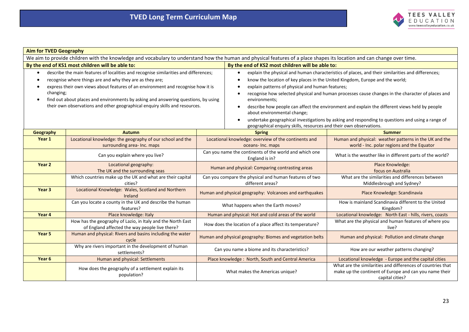

| <b>Aim for TVED Geography</b>                                                                                                                                                                                                                                                                                                                                                                                          |                                                                                                                                                                         |                                                 |                                                                                                  |                                                                                                                                                                                                                                                                                                                                                                                        |
|------------------------------------------------------------------------------------------------------------------------------------------------------------------------------------------------------------------------------------------------------------------------------------------------------------------------------------------------------------------------------------------------------------------------|-------------------------------------------------------------------------------------------------------------------------------------------------------------------------|-------------------------------------------------|--------------------------------------------------------------------------------------------------|----------------------------------------------------------------------------------------------------------------------------------------------------------------------------------------------------------------------------------------------------------------------------------------------------------------------------------------------------------------------------------------|
|                                                                                                                                                                                                                                                                                                                                                                                                                        | We aim to provide children with the knowledge and vocabulary to understand how the human and physical features of a place shapes its location and can change over time. |                                                 |                                                                                                  |                                                                                                                                                                                                                                                                                                                                                                                        |
|                                                                                                                                                                                                                                                                                                                                                                                                                        | By the end of KS1 most children will be able to:                                                                                                                        |                                                 | By the end of KS2 most children will be able to:                                                 |                                                                                                                                                                                                                                                                                                                                                                                        |
| describe the main features of localities and recognise similarities and differences;<br>recognise where things are and why they are as they are;<br>express their own views about features of an environment and recognise how it is<br>changing;<br>find out about places and environments by asking and answering questions, by using<br>their own observations and other geographical enquiry skills and resources. |                                                                                                                                                                         |                                                 | explain patterns of physical and human features;<br>environments;<br>about environmental change; | explain the physical and human characteristics of places, and their similarities and differences;<br>know the location of key places in the United Kingdom, Europe and the world;<br>recognise how selected physical and human processes cause changes in the character of places and<br>describe how people can affect the environment and explain the different views held by people |
|                                                                                                                                                                                                                                                                                                                                                                                                                        |                                                                                                                                                                         |                                                 | geographical enquiry skills, resources and their own observations.                               | undertake geographical investigations by asking and responding to questions and using a range of                                                                                                                                                                                                                                                                                       |
| <b>Geography</b>                                                                                                                                                                                                                                                                                                                                                                                                       | <b>Autumn</b>                                                                                                                                                           |                                                 | <b>Spring</b>                                                                                    | <b>Summer</b>                                                                                                                                                                                                                                                                                                                                                                          |
| Year 1                                                                                                                                                                                                                                                                                                                                                                                                                 | Locational knowledge: the geography of our school and the<br>surrounding area- Inc. maps                                                                                |                                                 | Locational knowledge: overview of the continents and<br>oceans- Inc. maps                        | Human and physical: weather patterns in the UK and the<br>world - Inc. polar regions and the Equator                                                                                                                                                                                                                                                                                   |
|                                                                                                                                                                                                                                                                                                                                                                                                                        | Can you explain where you live?                                                                                                                                         |                                                 | Can you name the continents of the world and which one<br>England is in?                         | What is the weather like in different parts of the world?                                                                                                                                                                                                                                                                                                                              |
| Year 2                                                                                                                                                                                                                                                                                                                                                                                                                 | Locational geography:<br>The UK and the surrounding seas                                                                                                                | Human and physical: Comparing contrasting areas |                                                                                                  | Place Knowledge:<br>focus on Australia                                                                                                                                                                                                                                                                                                                                                 |
|                                                                                                                                                                                                                                                                                                                                                                                                                        | Which countries make up the UK and what are their capital<br>cities?                                                                                                    |                                                 | Can you compare the physical and human features of two<br>different areas?                       | What are the similarities and differences between<br>Middlesbrough and Sydney?                                                                                                                                                                                                                                                                                                         |
| Year <sub>3</sub>                                                                                                                                                                                                                                                                                                                                                                                                      | Locational Knowledge: Wales, Scotland and Northern<br>Ireland                                                                                                           |                                                 | Human and physical geography: Volcanoes and earthquakes                                          | Place Knowledge: Scandinavia                                                                                                                                                                                                                                                                                                                                                           |
|                                                                                                                                                                                                                                                                                                                                                                                                                        | Can you locate a county in the UK and describe the human<br>features?                                                                                                   |                                                 | What happens when the Earth moves?                                                               | How is mainland Scandinavia different to the United<br>Kingdom?                                                                                                                                                                                                                                                                                                                        |
| Year 4                                                                                                                                                                                                                                                                                                                                                                                                                 | Place knowledge: Italy                                                                                                                                                  |                                                 | Human and physical: Hot and cold areas of the world                                              | Locational knowledge: North East - hills, rivers, coasts                                                                                                                                                                                                                                                                                                                               |
|                                                                                                                                                                                                                                                                                                                                                                                                                        | How has the geography of Lazio, in Italy and the North East<br>of England affected the way people live there?                                                           |                                                 | How does the location of a place affect its temperature?                                         | What are the physical and human features of where you<br>live?                                                                                                                                                                                                                                                                                                                         |
| Year <sub>5</sub>                                                                                                                                                                                                                                                                                                                                                                                                      | Human and physical: Rivers and basins including the water<br>cycle                                                                                                      |                                                 | Human and physical geography: Biomes and vegetation belts                                        | Human and physical: Pollution and climate change                                                                                                                                                                                                                                                                                                                                       |
|                                                                                                                                                                                                                                                                                                                                                                                                                        | Why are rivers important in the development of human<br>settlements?                                                                                                    | Can you name a biome and its characteristics?   |                                                                                                  | How are our weather patterns changing?                                                                                                                                                                                                                                                                                                                                                 |
| Year <sub>6</sub>                                                                                                                                                                                                                                                                                                                                                                                                      | Human and physical: Settlements                                                                                                                                         |                                                 | Place knowledge: North, South and Central America                                                | Locational knowledge - Europe and the capital cities                                                                                                                                                                                                                                                                                                                                   |
|                                                                                                                                                                                                                                                                                                                                                                                                                        | How does the geography of a settlement explain its<br>population?                                                                                                       |                                                 | What makes the Americas unique?                                                                  | What are the similarities and differences of countries that<br>make up the continent of Europe and can you name their<br>capital cities?                                                                                                                                                                                                                                               |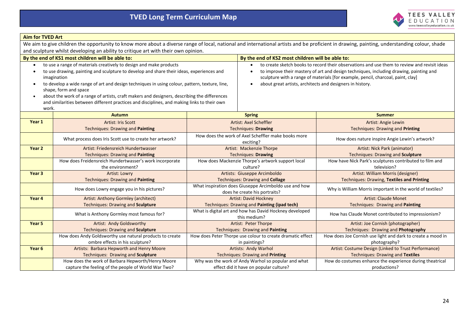

#### **Aim for TVED Art**

|                                                           | and sculpture whilst developing an ability to critique art with their own opinion.                                                                                                                                                                                                                                                                                                                                                                                                                     |                                                                                        | We aim to give children the opportunity to know more about a diverse range of local, national and international artists and be proficient in drawing, painting, understanding colour, shade                                                                                                                                             |
|-----------------------------------------------------------|--------------------------------------------------------------------------------------------------------------------------------------------------------------------------------------------------------------------------------------------------------------------------------------------------------------------------------------------------------------------------------------------------------------------------------------------------------------------------------------------------------|----------------------------------------------------------------------------------------|-----------------------------------------------------------------------------------------------------------------------------------------------------------------------------------------------------------------------------------------------------------------------------------------------------------------------------------------|
|                                                           | By the end of KS1 most children will be able to:                                                                                                                                                                                                                                                                                                                                                                                                                                                       | By the end of KS2 most children will be able to:                                       |                                                                                                                                                                                                                                                                                                                                         |
| $\bullet$<br>$\bullet$<br>$\bullet$<br>$\bullet$<br>work. | to use a range of materials creatively to design and make products<br>to use drawing, painting and sculpture to develop and share their ideas, experiences and<br>imagination<br>to develop a wide range of art and design techniques in using colour, pattern, texture, line,<br>shape, form and space<br>about the work of a range of artists, craft makers and designers, describing the differences<br>and similarities between different practices and disciplines, and making links to their own |                                                                                        | to create sketch books to record their observations and use them to review and revisit ideas<br>to improve their mastery of art and design techniques, including drawing, painting and<br>sculpture with a range of materials [for example, pencil, charcoal, paint, clay]<br>about great artists, architects and designers in history. |
|                                                           | <b>Autumn</b>                                                                                                                                                                                                                                                                                                                                                                                                                                                                                          | <b>Spring</b>                                                                          | <b>Summer</b>                                                                                                                                                                                                                                                                                                                           |
| Year 1                                                    | <b>Artist: Iris Scott</b>                                                                                                                                                                                                                                                                                                                                                                                                                                                                              | <b>Artist: Axel Scheffler</b>                                                          | Artist: Angie Lewin                                                                                                                                                                                                                                                                                                                     |
|                                                           | Techniques: Drawing and Painting                                                                                                                                                                                                                                                                                                                                                                                                                                                                       | <b>Techniques: Drawing</b>                                                             | <b>Techniques: Drawing and Printing</b>                                                                                                                                                                                                                                                                                                 |
|                                                           | What process does Iris Scott use to create her artwork?                                                                                                                                                                                                                                                                                                                                                                                                                                                | How does the work of Axel Scheffler make books more<br>exciting?                       | How does nature inspire Angie Lewin's artwork?                                                                                                                                                                                                                                                                                          |
| Year 2                                                    | Artist: Friedensreich Hundertwasser                                                                                                                                                                                                                                                                                                                                                                                                                                                                    | Artist: Mackenzie Thorpe                                                               | Artist: Nick Park (animator)                                                                                                                                                                                                                                                                                                            |
|                                                           | Techniques: Drawing and Painting                                                                                                                                                                                                                                                                                                                                                                                                                                                                       | <b>Techniques: Drawing</b>                                                             | <b>Techniques: Drawing and Sculpture</b>                                                                                                                                                                                                                                                                                                |
|                                                           | How does Freidensreich Hundertwasser's work incorporate                                                                                                                                                                                                                                                                                                                                                                                                                                                | How does Mackenzie Thorpe's artwork support local                                      | How have Nick Park's sculptures contributed to film and                                                                                                                                                                                                                                                                                 |
|                                                           | the environment?                                                                                                                                                                                                                                                                                                                                                                                                                                                                                       | culture?                                                                               | television?                                                                                                                                                                                                                                                                                                                             |
| Year 3                                                    | <b>Artist: Lowry</b>                                                                                                                                                                                                                                                                                                                                                                                                                                                                                   | Artists: Giuseppe Arcimboldo                                                           | Artist: William Morris (designer)                                                                                                                                                                                                                                                                                                       |
|                                                           | <b>Techniques: Drawing and Painting</b>                                                                                                                                                                                                                                                                                                                                                                                                                                                                | Techniques: Drawing and Collage                                                        | <b>Techniques: Drawing, Textiles and Printing</b>                                                                                                                                                                                                                                                                                       |
|                                                           | How does Lowry engage you in his pictures?                                                                                                                                                                                                                                                                                                                                                                                                                                                             | What inspiration does Giuseppe Arcimboldo use and how<br>does he create his portraits? | Why is William Morris important in the world of textiles?                                                                                                                                                                                                                                                                               |
| Year 4                                                    | Artist: Anthony Gormley (architect)                                                                                                                                                                                                                                                                                                                                                                                                                                                                    | <b>Artist: David Hockney</b>                                                           | <b>Artist: Claude Monet</b>                                                                                                                                                                                                                                                                                                             |
|                                                           | <b>Techniques: Drawing and Sculpture</b>                                                                                                                                                                                                                                                                                                                                                                                                                                                               | Techniques: Drawing and Painting (ipad tech)                                           | Techniques: Drawing and Painting                                                                                                                                                                                                                                                                                                        |
|                                                           | What is Anthony Gormley most famous for?                                                                                                                                                                                                                                                                                                                                                                                                                                                               | What is digital art and how has David Hockney developed<br>this medium?                | How has Claude Monet contributed to impressionism?                                                                                                                                                                                                                                                                                      |
| Year 5                                                    | Artist: Andy Goldsworthy                                                                                                                                                                                                                                                                                                                                                                                                                                                                               | Artist: Peter Thorpe                                                                   | Artist: Joe Cornish (photographer)                                                                                                                                                                                                                                                                                                      |
|                                                           | <b>Techniques: Drawing and Sculpture</b>                                                                                                                                                                                                                                                                                                                                                                                                                                                               | Techniques: Drawing and Painting                                                       | Techniques: Drawing and Photography                                                                                                                                                                                                                                                                                                     |
|                                                           | How does Andy Goldsworthy use natural products to create                                                                                                                                                                                                                                                                                                                                                                                                                                               | How does Peter Thorpe use colour to create dramatic effect                             | How does Joe Cornish use light and dark to create a mood in                                                                                                                                                                                                                                                                             |
|                                                           | ombre effects in his sculpture?                                                                                                                                                                                                                                                                                                                                                                                                                                                                        | in paintings?                                                                          | photography?                                                                                                                                                                                                                                                                                                                            |
| Year 6                                                    | <b>Artists: Barbara Hepworth and Henry Moore</b>                                                                                                                                                                                                                                                                                                                                                                                                                                                       | Artists: Andy Warhol                                                                   | Artist: Costume Design (Linked to Trust Performance)                                                                                                                                                                                                                                                                                    |
|                                                           | Techniques: Drawing and Sculpture                                                                                                                                                                                                                                                                                                                                                                                                                                                                      | <b>Techniques: Drawing and Printing</b>                                                | <b>Techniques: Drawing and Textiles</b>                                                                                                                                                                                                                                                                                                 |
|                                                           | How does the work of Barbara Hepworth/Henry Moore                                                                                                                                                                                                                                                                                                                                                                                                                                                      | Why was the work of Andy Warhol so popular and what                                    | How do costumes enhance the experience during theatrical                                                                                                                                                                                                                                                                                |
|                                                           | capture the feeling of the people of World War Two?                                                                                                                                                                                                                                                                                                                                                                                                                                                    | effect did it have on popular culture?                                                 | productions?                                                                                                                                                                                                                                                                                                                            |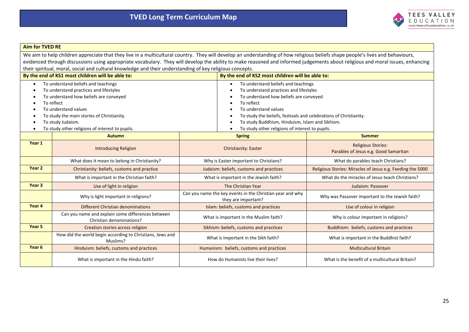

#### **Aim for TVED RE**

We aim to help children appreciate that they live in a multicultural country. They will develop an understanding of how religious beliefs shape people's lives and behaviours, evidenced through discussions using appropriate vocabulary. They will develop the ability to make reasoned and informed judgements about religious and moral issues, enhancing their spiritual, moral, social and cultural knowledge and their understanding of key religious concepts.

|                                                                                                                                                                                                                                                                                                       | By the end of KS1 most children will be able to:                              |                                                                                  | By the end of KS2 most children will be able to:                                                                                                                                                                                                                                                                                         |                                                                    |  |
|-------------------------------------------------------------------------------------------------------------------------------------------------------------------------------------------------------------------------------------------------------------------------------------------------------|-------------------------------------------------------------------------------|----------------------------------------------------------------------------------|------------------------------------------------------------------------------------------------------------------------------------------------------------------------------------------------------------------------------------------------------------------------------------------------------------------------------------------|--------------------------------------------------------------------|--|
| To understand beliefs and teachings<br>$\bullet$<br>To understand practices and lifestyles<br>To understand how beliefs are conveyed<br>To reflect<br>To understand values<br>To study the main stories of Christianity.<br>To study Judaism.<br>To study other religions of interest to pupils.<br>٠ |                                                                               |                                                                                  | To understand beliefs and teachings<br>To understand practices and lifestyles<br>To understand how beliefs are conveyed<br>To reflect<br>To understand values<br>To study the beliefs, festivals and celebrations of Christianity.<br>To study Buddhism, Hinduism, Islam and Sikhism.<br>To study other religions of interest to pupils. |                                                                    |  |
|                                                                                                                                                                                                                                                                                                       | <b>Autumn</b>                                                                 |                                                                                  | <b>Spring</b>                                                                                                                                                                                                                                                                                                                            | <b>Summer</b>                                                      |  |
| Year 1                                                                                                                                                                                                                                                                                                | <b>Introducing Religion</b>                                                   |                                                                                  | <b>Christianity: Easter</b>                                                                                                                                                                                                                                                                                                              | <b>Religious Stories:</b><br>Parables of Jesus e.g. Good Samaritan |  |
|                                                                                                                                                                                                                                                                                                       | What does it mean to belong in Christianity?                                  |                                                                                  | Why is Easter important to Christians?                                                                                                                                                                                                                                                                                                   | What do parables teach Christians?                                 |  |
| Year 2                                                                                                                                                                                                                                                                                                | Christianity: beliefs, customs and practice                                   | Judaism: beliefs, customs and practices                                          |                                                                                                                                                                                                                                                                                                                                          | Religious Stories: Miracles of Jesus e.g. Feeding the 5000         |  |
|                                                                                                                                                                                                                                                                                                       | What is important in the Christian faith?                                     | What is important in the Jewish faith?                                           |                                                                                                                                                                                                                                                                                                                                          | What do the miracles of Jesus teach Christians?                    |  |
| Year <sub>3</sub>                                                                                                                                                                                                                                                                                     | Use of light in religion                                                      | The Christian Year                                                               |                                                                                                                                                                                                                                                                                                                                          | Judaism: Passover                                                  |  |
|                                                                                                                                                                                                                                                                                                       | Why is light important in religions?                                          | Can you name the key events in the Christian year and why<br>they are important? |                                                                                                                                                                                                                                                                                                                                          | Why was Passover important to the Jewish faith?                    |  |
| Year 4                                                                                                                                                                                                                                                                                                | Different Christian denominations                                             | Islam: beliefs, customs and practices                                            |                                                                                                                                                                                                                                                                                                                                          | Use of colour in religion                                          |  |
|                                                                                                                                                                                                                                                                                                       | Can you name and explain some differences between<br>Christian denominations? | What is important in the Muslim faith?                                           |                                                                                                                                                                                                                                                                                                                                          | Why is colour important in religions?                              |  |
| Year 5                                                                                                                                                                                                                                                                                                | Creation stories across religion                                              |                                                                                  | Sikhism: beliefs, customs and practices                                                                                                                                                                                                                                                                                                  | Buddhism: beliefs, customs and practices                           |  |
| How did the world begin according to Christians, Jews and<br>Muslims?                                                                                                                                                                                                                                 |                                                                               |                                                                                  | What is important in the Sikh faith?                                                                                                                                                                                                                                                                                                     | What is important in the Buddhist faith?                           |  |
| Year <sub>6</sub>                                                                                                                                                                                                                                                                                     | Hinduism: beliefs, customs and practices                                      |                                                                                  | Humanism: beliefs, customs and practices                                                                                                                                                                                                                                                                                                 | <b>Multicultural Britain</b>                                       |  |
|                                                                                                                                                                                                                                                                                                       | What is important in the Hindu faith?                                         | How do Humanists live their lives?                                               |                                                                                                                                                                                                                                                                                                                                          | What is the benefit of a multicultural Britain?                    |  |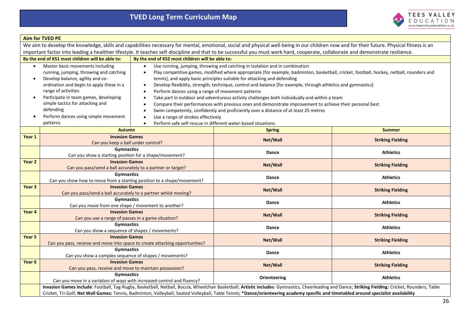

#### **Aim for TVED PE**

We aim to develop the knowledge, skills and capabilities necessary for mental, emotional, social and physical well-being in our children now and for their future. Physical fitness is an important factor into leading a healthier lifestyle. It teaches self-discipline and that to be successful you must work hard, cooperate, collaborate and demonstrate resilience.

| By the end of KS1 most children will be able to: |                                                                                                                                                                                                                                                                                                                                                                                              | By the end of KS2 most children will be able to:                                                                                                         |                                                                                                                                                                                                                                                                                                                                                                                                                                                                                                                                                                                                                                                                                                                          |                          |  |  |
|--------------------------------------------------|----------------------------------------------------------------------------------------------------------------------------------------------------------------------------------------------------------------------------------------------------------------------------------------------------------------------------------------------------------------------------------------------|----------------------------------------------------------------------------------------------------------------------------------------------------------|--------------------------------------------------------------------------------------------------------------------------------------------------------------------------------------------------------------------------------------------------------------------------------------------------------------------------------------------------------------------------------------------------------------------------------------------------------------------------------------------------------------------------------------------------------------------------------------------------------------------------------------------------------------------------------------------------------------------------|--------------------------|--|--|
| $\bullet$<br>$\bullet$                           | Master basic movements including<br>running, jumping, throwing and catching<br>Develop balance, agility and co-<br>ordination and begin to apply these in a<br>range of activities<br>Participate in team games, developing<br>simple tactics for attacking and<br>defending<br>Perform dances using simple movement<br>patterns                                                             | Perform dances using a range of movement patterns<br>Use a range of strokes effectively<br>Perform safe self-rescue in different water-based situations. | Use running, jumping, throwing and catching in isolation and in combination<br>Play competitive games, modified where appropriate [for example, badminton, basketball, cricket, football, hockey, netball, rounders and<br>tennis], and apply basic principles suitable for attacking and defending<br>Develop flexibility, strength, technique, control and balance [for example, through athletics and gymnastics]<br>Take part in outdoor and adventurous activity challenges both individually and within a team<br>Compare their performances with previous ones and demonstrate improvement to achieve their personal best<br>Swim competently, confidently and proficiently over a distance of at least 25 metres |                          |  |  |
|                                                  | <b>Autumn</b>                                                                                                                                                                                                                                                                                                                                                                                |                                                                                                                                                          | <b>Spring</b>                                                                                                                                                                                                                                                                                                                                                                                                                                                                                                                                                                                                                                                                                                            | <b>Summer</b>            |  |  |
| Year 1                                           | <b>Invasion Games</b><br>Can you keep a ball under control?                                                                                                                                                                                                                                                                                                                                  |                                                                                                                                                          | Net/Wall                                                                                                                                                                                                                                                                                                                                                                                                                                                                                                                                                                                                                                                                                                                 | <b>Striking Fielding</b> |  |  |
|                                                  | <b>Gymnastics</b><br>Can you show a starting position for a shape/movement?                                                                                                                                                                                                                                                                                                                  |                                                                                                                                                          | Dance                                                                                                                                                                                                                                                                                                                                                                                                                                                                                                                                                                                                                                                                                                                    | <b>Athletics</b>         |  |  |
| Year <sub>2</sub>                                | <b>Invasion Games</b><br>Can you pass/send a ball accurately to a partner or target?                                                                                                                                                                                                                                                                                                         |                                                                                                                                                          | Net/Wall                                                                                                                                                                                                                                                                                                                                                                                                                                                                                                                                                                                                                                                                                                                 | <b>Striking Fielding</b> |  |  |
|                                                  | <b>Gymnastics</b><br>Can you show how to move from a starting position to a shape/movement?                                                                                                                                                                                                                                                                                                  |                                                                                                                                                          | <b>Dance</b>                                                                                                                                                                                                                                                                                                                                                                                                                                                                                                                                                                                                                                                                                                             | <b>Athletics</b>         |  |  |
| Year <sub>3</sub>                                | <b>Invasion Games</b><br>Can you pass/send a ball accurately to a partner whilst moving?                                                                                                                                                                                                                                                                                                     |                                                                                                                                                          | Net/Wall                                                                                                                                                                                                                                                                                                                                                                                                                                                                                                                                                                                                                                                                                                                 | <b>Striking Fielding</b> |  |  |
|                                                  | <b>Gymnastics</b><br>Can you move from one shape / movement to another?                                                                                                                                                                                                                                                                                                                      |                                                                                                                                                          | Dance                                                                                                                                                                                                                                                                                                                                                                                                                                                                                                                                                                                                                                                                                                                    | <b>Athletics</b>         |  |  |
| Year 4                                           | <b>Invasion Games</b><br>Can you use a range of passes in a game situation?                                                                                                                                                                                                                                                                                                                  |                                                                                                                                                          | Net/Wall                                                                                                                                                                                                                                                                                                                                                                                                                                                                                                                                                                                                                                                                                                                 | <b>Striking Fielding</b> |  |  |
|                                                  | <b>Gymnastics</b><br>Can you show a sequence of shapes / movements?                                                                                                                                                                                                                                                                                                                          |                                                                                                                                                          | Dance                                                                                                                                                                                                                                                                                                                                                                                                                                                                                                                                                                                                                                                                                                                    | <b>Athletics</b>         |  |  |
| Year 5                                           | <b>Invasion Games</b><br>Can you pass, receive and move into space to create attacking opportunities?                                                                                                                                                                                                                                                                                        |                                                                                                                                                          | Net/Wall                                                                                                                                                                                                                                                                                                                                                                                                                                                                                                                                                                                                                                                                                                                 | <b>Striking Fielding</b> |  |  |
|                                                  | <b>Gymnastics</b><br>Can you show a complex sequence of shapes / movements?                                                                                                                                                                                                                                                                                                                  |                                                                                                                                                          | Dance                                                                                                                                                                                                                                                                                                                                                                                                                                                                                                                                                                                                                                                                                                                    | <b>Athletics</b>         |  |  |
| Year 6                                           | <b>Invasion Games</b><br>Can you pass, receive and move to maintain possession?                                                                                                                                                                                                                                                                                                              |                                                                                                                                                          | Net/Wall                                                                                                                                                                                                                                                                                                                                                                                                                                                                                                                                                                                                                                                                                                                 | <b>Striking Fielding</b> |  |  |
|                                                  | <b>Gymnastics</b><br>Can you move in a variation of ways with increased control and fluency?                                                                                                                                                                                                                                                                                                 |                                                                                                                                                          | Orienteering                                                                                                                                                                                                                                                                                                                                                                                                                                                                                                                                                                                                                                                                                                             | <b>Athletics</b>         |  |  |
|                                                  | Invasion Games include: Football, Tag-Rugby, Basketball, Netball, Boccia, Wheelchair Basketball; Artistic includes: Gymnastics, Cheerleading and Dance; Striking Fielding: Cricket, Rounders, Table<br>Cricket, Tri-Golf; Net Wall Games: Tennis, Badminton, Volleyball, Seated Volleyball, Table Tennis; *Dance/orienteering academy specific and timetabled around specialist availability |                                                                                                                                                          |                                                                                                                                                                                                                                                                                                                                                                                                                                                                                                                                                                                                                                                                                                                          |                          |  |  |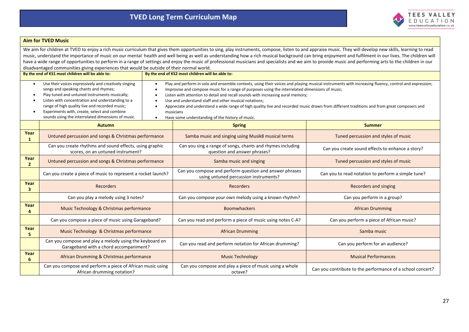

### **Aim for TVED Music**

| We aim for children at TVED to enjoy a rich music curriculum that gives them opportunities to sing, play instruments, compose, listen to and appraise music. They will develop new skills, learning to read<br>music, understand the importance of music on our mental health and well being as well as understanding how a rich musical background can bring enjoyment and fulfilment in our lives. The children will<br>have a wide range of opportunities to perform in a range of settings and enjoy the music of professional musicians and specialists and we aim to provide music and performing arts to the children in our<br>disadvantaged communities giving experiences that would be outside of their normal world. |                                                                                                                                                                                                                                                                                                                                                            |                                                                                                                                                                                                                                                                                                                                                                                                                                                                                                                                                                                                                                 |                                                                                                  |                                                            |  |  |  |
|----------------------------------------------------------------------------------------------------------------------------------------------------------------------------------------------------------------------------------------------------------------------------------------------------------------------------------------------------------------------------------------------------------------------------------------------------------------------------------------------------------------------------------------------------------------------------------------------------------------------------------------------------------------------------------------------------------------------------------|------------------------------------------------------------------------------------------------------------------------------------------------------------------------------------------------------------------------------------------------------------------------------------------------------------------------------------------------------------|---------------------------------------------------------------------------------------------------------------------------------------------------------------------------------------------------------------------------------------------------------------------------------------------------------------------------------------------------------------------------------------------------------------------------------------------------------------------------------------------------------------------------------------------------------------------------------------------------------------------------------|--------------------------------------------------------------------------------------------------|------------------------------------------------------------|--|--|--|
| By the end of KS1 most children will be able to:                                                                                                                                                                                                                                                                                                                                                                                                                                                                                                                                                                                                                                                                                 |                                                                                                                                                                                                                                                                                                                                                            | By the end of KS2 most children will be able to:                                                                                                                                                                                                                                                                                                                                                                                                                                                                                                                                                                                |                                                                                                  |                                                            |  |  |  |
| $\bullet$<br>$\bullet$<br>$\bullet$<br>$\bullet$                                                                                                                                                                                                                                                                                                                                                                                                                                                                                                                                                                                                                                                                                 | Use their voices expressively and creatively singing<br>songs and speaking chants and rhymes;<br>Play tuned and untuned instruments musically;<br>Listen with concentration and understanding to a<br>range of high quality live and recorded music;<br>Experiments with, create, select and combine<br>sounds using the interrelated dimensions of music. | Play and perform in solo and ensemble contexts, using their voices and playing musical instruments with increasing fluency, control and expression;<br>Improvise and compose music for a range of purposes using the interrelated dimensions of music;<br>Listen with attention to detail and recall sounds with increasing aural memory;<br>Use and understand staff and other musical notations;<br>Appreciate and understand a wide range of high quality live and recorded music drawn from different traditions and from great composers and<br>musicians<br>Have some understanding of the history of music.<br>$\bullet$ |                                                                                                  |                                                            |  |  |  |
|                                                                                                                                                                                                                                                                                                                                                                                                                                                                                                                                                                                                                                                                                                                                  | <b>Autumn</b>                                                                                                                                                                                                                                                                                                                                              |                                                                                                                                                                                                                                                                                                                                                                                                                                                                                                                                                                                                                                 | <b>Spring</b>                                                                                    | <b>Summer</b>                                              |  |  |  |
| Year<br>$\mathbf{1}$                                                                                                                                                                                                                                                                                                                                                                                                                                                                                                                                                                                                                                                                                                             | Untuned percussion and songs & Christmas performance                                                                                                                                                                                                                                                                                                       |                                                                                                                                                                                                                                                                                                                                                                                                                                                                                                                                                                                                                                 | Samba music and singing using Musik8 musical terms                                               | Tuned percussion and styles of music                       |  |  |  |
|                                                                                                                                                                                                                                                                                                                                                                                                                                                                                                                                                                                                                                                                                                                                  | Can you create rhythms and sound effects, using graphic<br>scores, on an untuned instrument?                                                                                                                                                                                                                                                               |                                                                                                                                                                                                                                                                                                                                                                                                                                                                                                                                                                                                                                 | Can you sing a range of songs, chants and rhymes including<br>question and answer phrases?       | Can you create sound effects to enhance a story?           |  |  |  |
| Year<br>$\overline{2}$                                                                                                                                                                                                                                                                                                                                                                                                                                                                                                                                                                                                                                                                                                           | Untuned percussion and songs & Christmas performance                                                                                                                                                                                                                                                                                                       |                                                                                                                                                                                                                                                                                                                                                                                                                                                                                                                                                                                                                                 | Samba music and singing                                                                          | Tuned percussion and styles of music                       |  |  |  |
|                                                                                                                                                                                                                                                                                                                                                                                                                                                                                                                                                                                                                                                                                                                                  | Can you create a piece of music to represent a rocket launch?                                                                                                                                                                                                                                                                                              |                                                                                                                                                                                                                                                                                                                                                                                                                                                                                                                                                                                                                                 | Can you compose and perform question and answer phrases<br>using untuned percussion instruments? | Can you to read notation to perform a simple tune?         |  |  |  |
| Year<br>3                                                                                                                                                                                                                                                                                                                                                                                                                                                                                                                                                                                                                                                                                                                        | <b>Recorders</b>                                                                                                                                                                                                                                                                                                                                           |                                                                                                                                                                                                                                                                                                                                                                                                                                                                                                                                                                                                                                 | <b>Recorders</b>                                                                                 | <b>Recorders and singing</b>                               |  |  |  |
|                                                                                                                                                                                                                                                                                                                                                                                                                                                                                                                                                                                                                                                                                                                                  | Can you play a melody using 3 notes?                                                                                                                                                                                                                                                                                                                       |                                                                                                                                                                                                                                                                                                                                                                                                                                                                                                                                                                                                                                 | Can you compose your own melody using a known rhythm?                                            | Can you perform in a group?                                |  |  |  |
| Year<br>Δ                                                                                                                                                                                                                                                                                                                                                                                                                                                                                                                                                                                                                                                                                                                        | Music Technology & Christmas performance                                                                                                                                                                                                                                                                                                                   |                                                                                                                                                                                                                                                                                                                                                                                                                                                                                                                                                                                                                                 | <b>Boomwhackers</b>                                                                              | <b>African Drumming</b>                                    |  |  |  |
|                                                                                                                                                                                                                                                                                                                                                                                                                                                                                                                                                                                                                                                                                                                                  | Can you compose a piece of music using Garageband?                                                                                                                                                                                                                                                                                                         |                                                                                                                                                                                                                                                                                                                                                                                                                                                                                                                                                                                                                                 | Can you read and perform a piece of music using notes C-A?                                       | Can you perform a piece of African music?                  |  |  |  |
| Year<br>5                                                                                                                                                                                                                                                                                                                                                                                                                                                                                                                                                                                                                                                                                                                        | Music Technology & Christmas performance                                                                                                                                                                                                                                                                                                                   |                                                                                                                                                                                                                                                                                                                                                                                                                                                                                                                                                                                                                                 | <b>African Drumming</b>                                                                          | Samba music                                                |  |  |  |
|                                                                                                                                                                                                                                                                                                                                                                                                                                                                                                                                                                                                                                                                                                                                  | Can you compose and play a melody using the keyboard on<br>Garageband with a chord accompaniment?                                                                                                                                                                                                                                                          |                                                                                                                                                                                                                                                                                                                                                                                                                                                                                                                                                                                                                                 | Can you read and perform notation for African drumming?                                          | Can you perform for an audience?                           |  |  |  |
| Year<br>6                                                                                                                                                                                                                                                                                                                                                                                                                                                                                                                                                                                                                                                                                                                        | African Drumming & Christmas performance                                                                                                                                                                                                                                                                                                                   |                                                                                                                                                                                                                                                                                                                                                                                                                                                                                                                                                                                                                                 | <b>Music Technology</b>                                                                          | <b>Musical Performances</b>                                |  |  |  |
|                                                                                                                                                                                                                                                                                                                                                                                                                                                                                                                                                                                                                                                                                                                                  | Can you compose and perform a piece of African music using<br>African drumming notation?                                                                                                                                                                                                                                                                   |                                                                                                                                                                                                                                                                                                                                                                                                                                                                                                                                                                                                                                 | Can you compose and play a piece of music using a whole<br>octave?                               | Can you contribute to the performance of a school concert? |  |  |  |